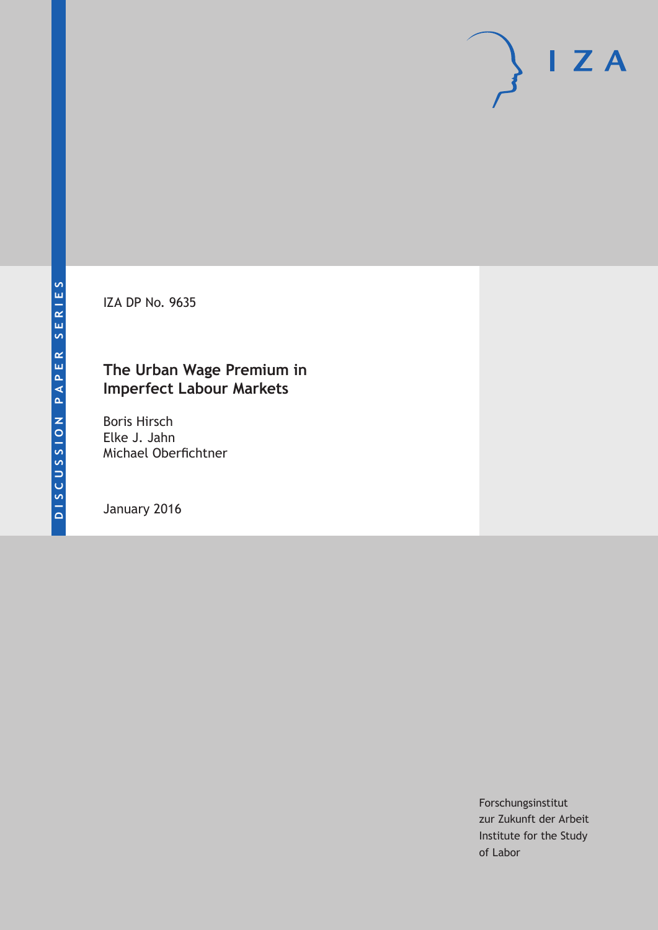IZA DP No. 9635

## **The Urban Wage Premium in Imperfect Labour Markets**

Boris Hirsch Elke J. Jahn Michael Oberfichtner

January 2016

Forschungsinstitut zur Zukunft der Arbeit Institute for the Study of Labor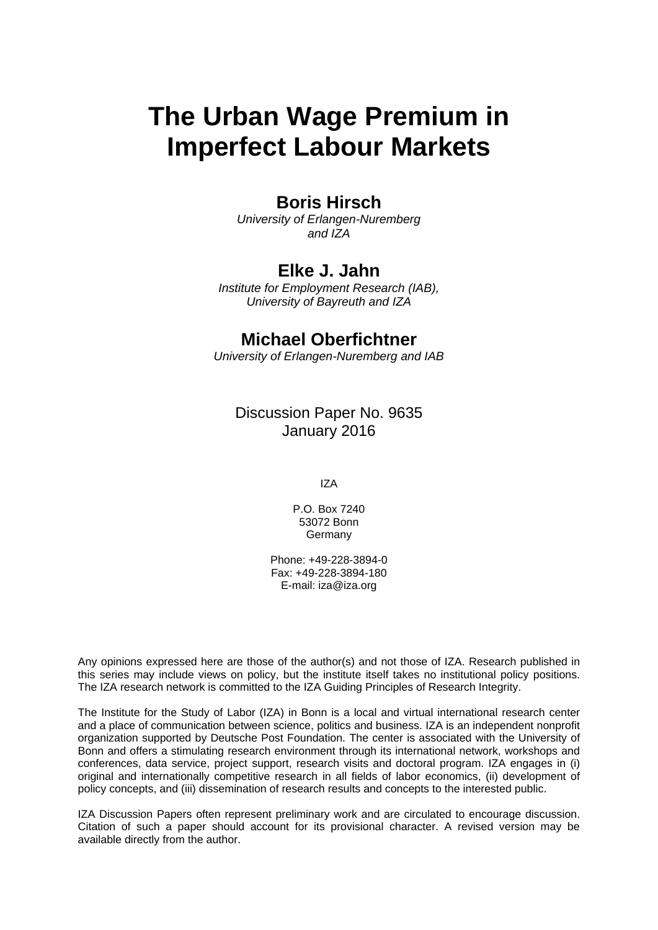# **The Urban Wage Premium in Imperfect Labour Markets**

## **Boris Hirsch**

*University of Erlangen-Nuremberg and IZA* 

## **Elke J. Jahn**

*Institute for Employment Research (IAB), University of Bayreuth and IZA* 

## **Michael Oberfichtner**

*University of Erlangen-Nuremberg and IAB*

Discussion Paper No. 9635 January 2016

IZA

P.O. Box 7240 53072 Bonn **Germany** 

Phone: +49-228-3894-0 Fax: +49-228-3894-180 E-mail: iza@iza.org

Any opinions expressed here are those of the author(s) and not those of IZA. Research published in this series may include views on policy, but the institute itself takes no institutional policy positions. The IZA research network is committed to the IZA Guiding Principles of Research Integrity.

The Institute for the Study of Labor (IZA) in Bonn is a local and virtual international research center and a place of communication between science, politics and business. IZA is an independent nonprofit organization supported by Deutsche Post Foundation. The center is associated with the University of Bonn and offers a stimulating research environment through its international network, workshops and conferences, data service, project support, research visits and doctoral program. IZA engages in (i) original and internationally competitive research in all fields of labor economics, (ii) development of policy concepts, and (iii) dissemination of research results and concepts to the interested public.

IZA Discussion Papers often represent preliminary work and are circulated to encourage discussion. Citation of such a paper should account for its provisional character. A revised version may be available directly from the author.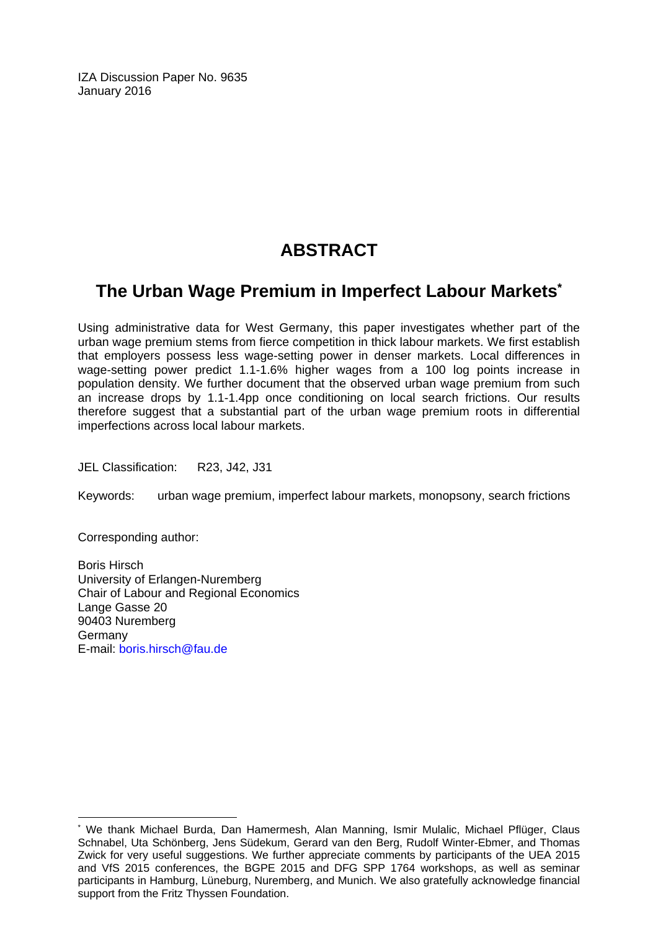IZA Discussion Paper No. 9635 January 2016

## **ABSTRACT**

## **The Urban Wage Premium in Imperfect Labour Markets\***

Using administrative data for West Germany, this paper investigates whether part of the urban wage premium stems from fierce competition in thick labour markets. We first establish that employers possess less wage-setting power in denser markets. Local differences in wage-setting power predict 1.1-1.6% higher wages from a 100 log points increase in population density. We further document that the observed urban wage premium from such an increase drops by 1.1-1.4pp once conditioning on local search frictions. Our results therefore suggest that a substantial part of the urban wage premium roots in differential imperfections across local labour markets.

JEL Classification: R23, J42, J31

Keywords: urban wage premium, imperfect labour markets, monopsony, search frictions

Corresponding author:

 $\overline{\phantom{a}}$ 

Boris Hirsch University of Erlangen-Nuremberg Chair of Labour and Regional Economics Lange Gasse 20 90403 Nuremberg **Germany** E-mail: boris.hirsch@fau.de

<sup>\*</sup> We thank Michael Burda, Dan Hamermesh, Alan Manning, Ismir Mulalic, Michael Pflüger, Claus Schnabel, Uta Schönberg, Jens Südekum, Gerard van den Berg, Rudolf Winter-Ebmer, and Thomas Zwick for very useful suggestions. We further appreciate comments by participants of the UEA 2015 and VfS 2015 conferences, the BGPE 2015 and DFG SPP 1764 workshops, as well as seminar participants in Hamburg, Lüneburg, Nuremberg, and Munich. We also gratefully acknowledge financial support from the Fritz Thyssen Foundation.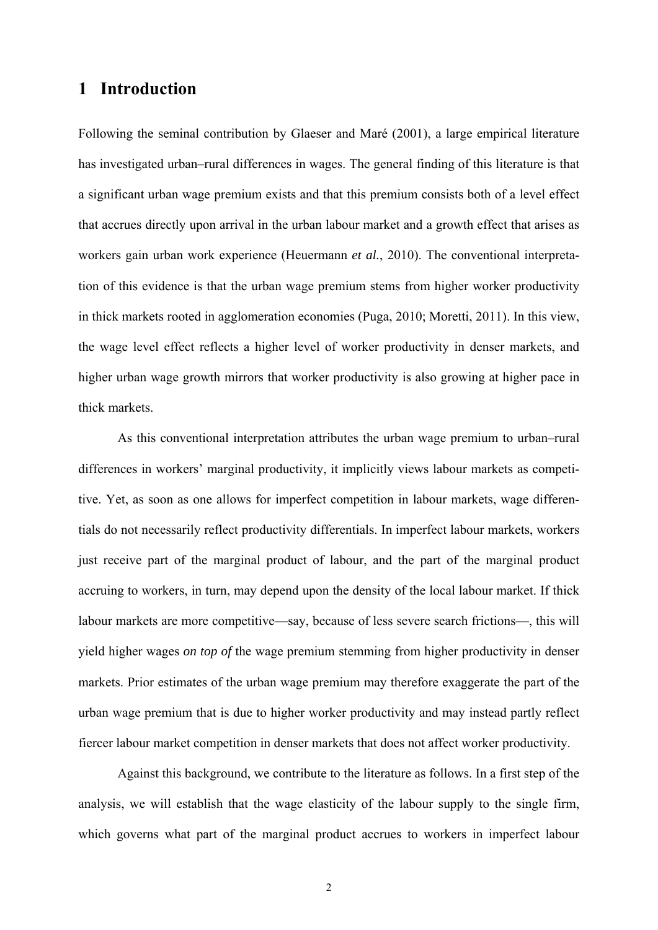### **1 Introduction**

Following the seminal contribution by Glaeser and Maré (2001), a large empirical literature has investigated urban–rural differences in wages. The general finding of this literature is that a significant urban wage premium exists and that this premium consists both of a level effect that accrues directly upon arrival in the urban labour market and a growth effect that arises as workers gain urban work experience (Heuermann *et al.*, 2010). The conventional interpretation of this evidence is that the urban wage premium stems from higher worker productivity in thick markets rooted in agglomeration economies (Puga, 2010; Moretti, 2011). In this view, the wage level effect reflects a higher level of worker productivity in denser markets, and higher urban wage growth mirrors that worker productivity is also growing at higher pace in thick markets.

As this conventional interpretation attributes the urban wage premium to urban–rural differences in workers' marginal productivity, it implicitly views labour markets as competitive. Yet, as soon as one allows for imperfect competition in labour markets, wage differentials do not necessarily reflect productivity differentials. In imperfect labour markets, workers just receive part of the marginal product of labour, and the part of the marginal product accruing to workers, in turn, may depend upon the density of the local labour market. If thick labour markets are more competitive—say, because of less severe search frictions—, this will yield higher wages *on top of* the wage premium stemming from higher productivity in denser markets. Prior estimates of the urban wage premium may therefore exaggerate the part of the urban wage premium that is due to higher worker productivity and may instead partly reflect fiercer labour market competition in denser markets that does not affect worker productivity.

Against this background, we contribute to the literature as follows. In a first step of the analysis, we will establish that the wage elasticity of the labour supply to the single firm, which governs what part of the marginal product accrues to workers in imperfect labour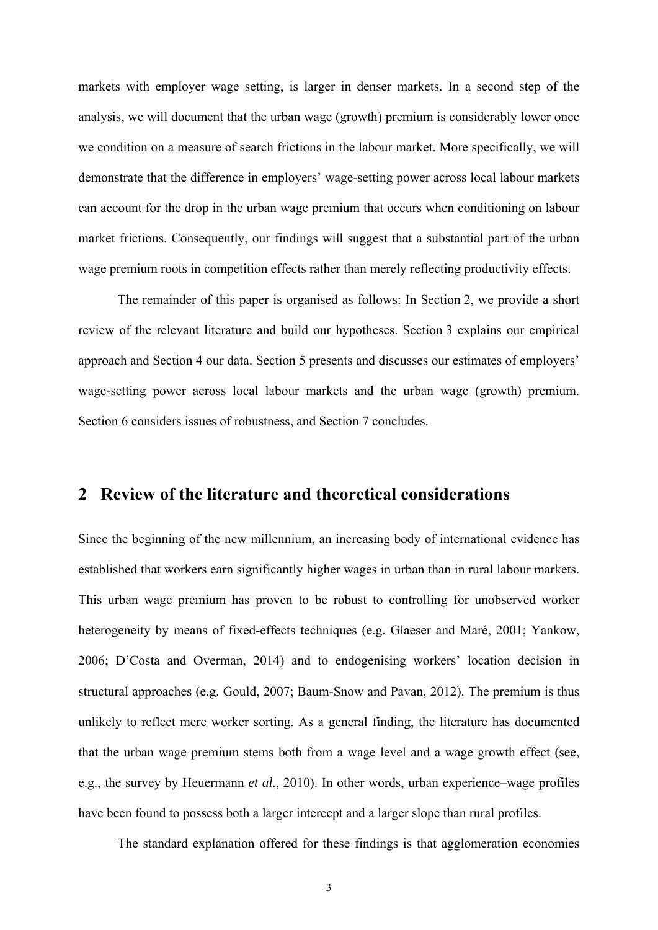markets with employer wage setting, is larger in denser markets. In a second step of the analysis, we will document that the urban wage (growth) premium is considerably lower once we condition on a measure of search frictions in the labour market. More specifically, we will demonstrate that the difference in employers' wage-setting power across local labour markets can account for the drop in the urban wage premium that occurs when conditioning on labour market frictions. Consequently, our findings will suggest that a substantial part of the urban wage premium roots in competition effects rather than merely reflecting productivity effects.

The remainder of this paper is organised as follows: In Section 2, we provide a short review of the relevant literature and build our hypotheses. Section 3 explains our empirical approach and Section 4 our data. Section 5 presents and discusses our estimates of employers' wage-setting power across local labour markets and the urban wage (growth) premium. Section 6 considers issues of robustness, and Section 7 concludes.

### **2 Review of the literature and theoretical considerations**

Since the beginning of the new millennium, an increasing body of international evidence has established that workers earn significantly higher wages in urban than in rural labour markets. This urban wage premium has proven to be robust to controlling for unobserved worker heterogeneity by means of fixed-effects techniques (e.g. Glaeser and Maré, 2001; Yankow, 2006; D'Costa and Overman, 2014) and to endogenising workers' location decision in structural approaches (e.g. Gould, 2007; Baum-Snow and Pavan, 2012). The premium is thus unlikely to reflect mere worker sorting. As a general finding, the literature has documented that the urban wage premium stems both from a wage level and a wage growth effect (see, e.g., the survey by Heuermann *et al.*, 2010). In other words, urban experience–wage profiles have been found to possess both a larger intercept and a larger slope than rural profiles.

The standard explanation offered for these findings is that agglomeration economies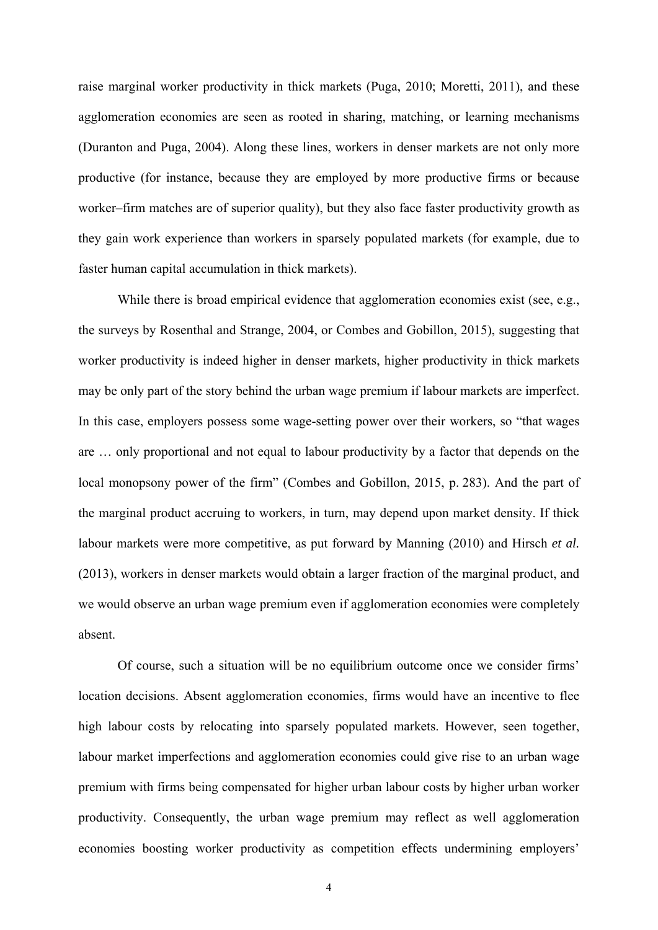raise marginal worker productivity in thick markets (Puga, 2010; Moretti, 2011), and these agglomeration economies are seen as rooted in sharing, matching, or learning mechanisms (Duranton and Puga, 2004). Along these lines, workers in denser markets are not only more productive (for instance, because they are employed by more productive firms or because worker–firm matches are of superior quality), but they also face faster productivity growth as they gain work experience than workers in sparsely populated markets (for example, due to faster human capital accumulation in thick markets).

While there is broad empirical evidence that agglomeration economies exist (see, e.g., the surveys by Rosenthal and Strange, 2004, or Combes and Gobillon, 2015), suggesting that worker productivity is indeed higher in denser markets, higher productivity in thick markets may be only part of the story behind the urban wage premium if labour markets are imperfect. In this case, employers possess some wage-setting power over their workers, so "that wages are … only proportional and not equal to labour productivity by a factor that depends on the local monopsony power of the firm" (Combes and Gobillon, 2015, p. 283). And the part of the marginal product accruing to workers, in turn, may depend upon market density. If thick labour markets were more competitive, as put forward by Manning (2010) and Hirsch *et al.* (2013), workers in denser markets would obtain a larger fraction of the marginal product, and we would observe an urban wage premium even if agglomeration economies were completely absent.

Of course, such a situation will be no equilibrium outcome once we consider firms' location decisions. Absent agglomeration economies, firms would have an incentive to flee high labour costs by relocating into sparsely populated markets. However, seen together, labour market imperfections and agglomeration economies could give rise to an urban wage premium with firms being compensated for higher urban labour costs by higher urban worker productivity. Consequently, the urban wage premium may reflect as well agglomeration economies boosting worker productivity as competition effects undermining employers'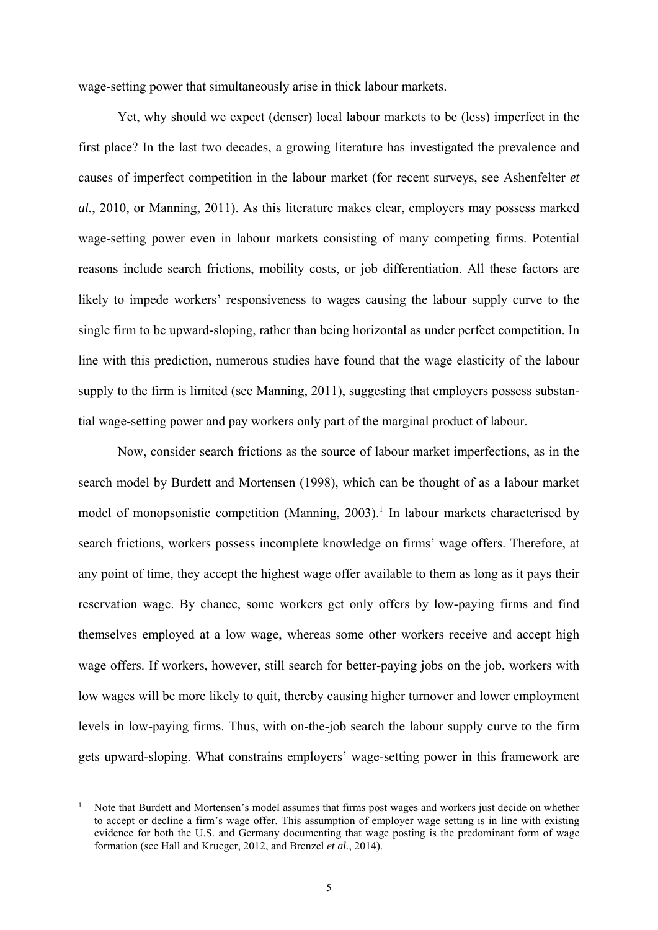wage-setting power that simultaneously arise in thick labour markets.

Yet, why should we expect (denser) local labour markets to be (less) imperfect in the first place? In the last two decades, a growing literature has investigated the prevalence and causes of imperfect competition in the labour market (for recent surveys, see Ashenfelter *et al.*, 2010, or Manning, 2011). As this literature makes clear, employers may possess marked wage-setting power even in labour markets consisting of many competing firms. Potential reasons include search frictions, mobility costs, or job differentiation. All these factors are likely to impede workers' responsiveness to wages causing the labour supply curve to the single firm to be upward-sloping, rather than being horizontal as under perfect competition. In line with this prediction, numerous studies have found that the wage elasticity of the labour supply to the firm is limited (see Manning, 2011), suggesting that employers possess substantial wage-setting power and pay workers only part of the marginal product of labour.

Now, consider search frictions as the source of labour market imperfections, as in the search model by Burdett and Mortensen (1998), which can be thought of as a labour market model of monopsonistic competition (Manning,  $2003$ ).<sup>1</sup> In labour markets characterised by search frictions, workers possess incomplete knowledge on firms' wage offers. Therefore, at any point of time, they accept the highest wage offer available to them as long as it pays their reservation wage. By chance, some workers get only offers by low-paying firms and find themselves employed at a low wage, whereas some other workers receive and accept high wage offers. If workers, however, still search for better-paying jobs on the job, workers with low wages will be more likely to quit, thereby causing higher turnover and lower employment levels in low-paying firms. Thus, with on-the-job search the labour supply curve to the firm gets upward-sloping. What constrains employers' wage-setting power in this framework are

<u>.</u>

<sup>1</sup> Note that Burdett and Mortensen's model assumes that firms post wages and workers just decide on whether to accept or decline a firm's wage offer. This assumption of employer wage setting is in line with existing evidence for both the U.S. and Germany documenting that wage posting is the predominant form of wage formation (see Hall and Krueger, 2012, and Brenzel *et al.*, 2014).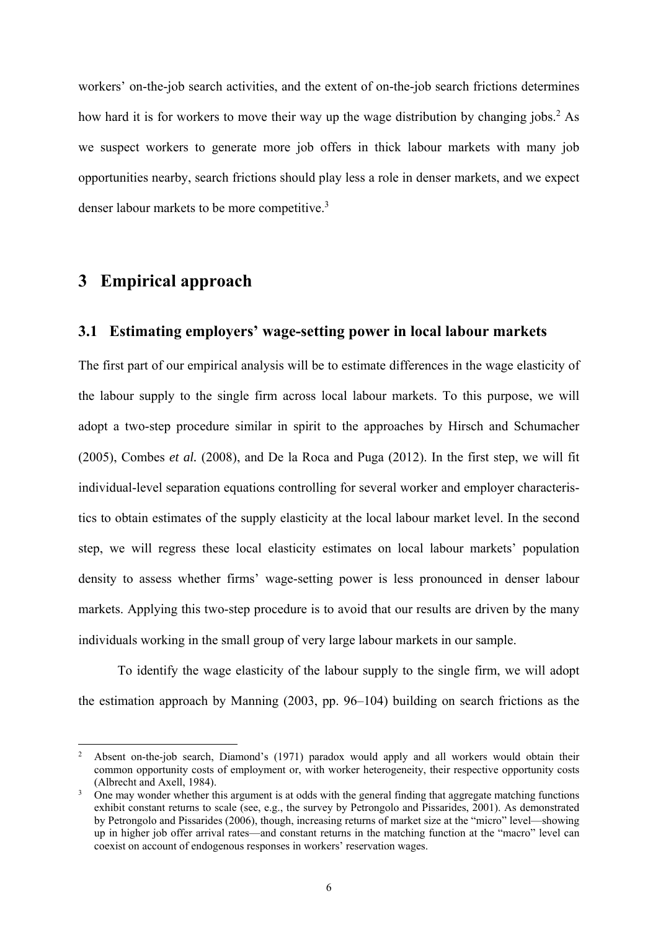workers' on-the-job search activities, and the extent of on-the-job search frictions determines how hard it is for workers to move their way up the wage distribution by changing jobs.<sup>2</sup> As we suspect workers to generate more job offers in thick labour markets with many job opportunities nearby, search frictions should play less a role in denser markets, and we expect denser labour markets to be more competitive.<sup>3</sup>

## **3 Empirical approach**

1

#### **3.1 Estimating employers' wage-setting power in local labour markets**

The first part of our empirical analysis will be to estimate differences in the wage elasticity of the labour supply to the single firm across local labour markets. To this purpose, we will adopt a two-step procedure similar in spirit to the approaches by Hirsch and Schumacher (2005), Combes *et al.* (2008), and De la Roca and Puga (2012). In the first step, we will fit individual-level separation equations controlling for several worker and employer characteristics to obtain estimates of the supply elasticity at the local labour market level. In the second step, we will regress these local elasticity estimates on local labour markets' population density to assess whether firms' wage-setting power is less pronounced in denser labour markets. Applying this two-step procedure is to avoid that our results are driven by the many individuals working in the small group of very large labour markets in our sample.

To identify the wage elasticity of the labour supply to the single firm, we will adopt the estimation approach by Manning (2003, pp. 96–104) building on search frictions as the

<sup>2</sup> Absent on-the-job search, Diamond's (1971) paradox would apply and all workers would obtain their common opportunity costs of employment or, with worker heterogeneity, their respective opportunity costs (Albrecht and Axell, 1984).

<sup>3</sup> One may wonder whether this argument is at odds with the general finding that aggregate matching functions exhibit constant returns to scale (see, e.g., the survey by Petrongolo and Pissarides, 2001). As demonstrated by Petrongolo and Pissarides (2006), though, increasing returns of market size at the "micro" level—showing up in higher job offer arrival rates—and constant returns in the matching function at the "macro" level can coexist on account of endogenous responses in workers' reservation wages.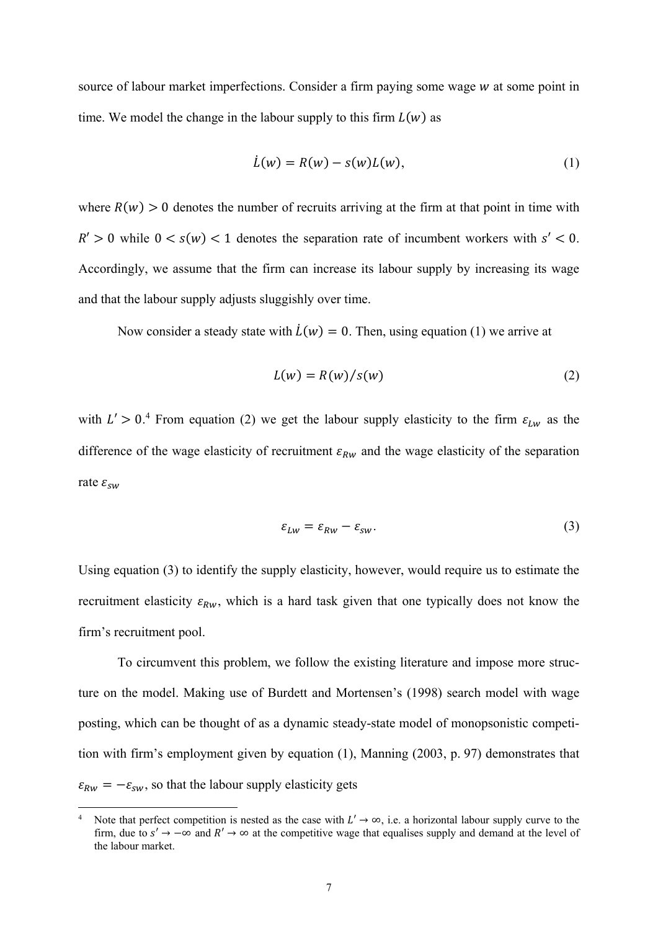source of labour market imperfections. Consider a firm paying some wage  $w$  at some point in time. We model the change in the labour supply to this firm  $L(w)$  as

$$
\dot{L}(w) = R(w) - s(w)L(w),\tag{1}
$$

where  $R(w) > 0$  denotes the number of recruits arriving at the firm at that point in time with  $R' > 0$  while  $0 < s(w) < 1$  denotes the separation rate of incumbent workers with  $s' < 0$ . Accordingly, we assume that the firm can increase its labour supply by increasing its wage and that the labour supply adjusts sluggishly over time.

Now consider a steady state with  $\dot{L}(w) = 0$ . Then, using equation (1) we arrive at

$$
L(w) = R(w) / s(w)
$$
 (2)

with  $L' > 0.4$  From equation (2) we get the labour supply elasticity to the firm  $\varepsilon_{Lw}$  as the difference of the wage elasticity of recruitment  $\varepsilon_{RW}$  and the wage elasticity of the separation rate  $\varepsilon_{\rm sw}$ 

$$
\varepsilon_{Lw} = \varepsilon_{Rw} - \varepsilon_{sw}.\tag{3}
$$

Using equation (3) to identify the supply elasticity, however, would require us to estimate the recruitment elasticity  $\varepsilon_{RW}$ , which is a hard task given that one typically does not know the firm's recruitment pool.

To circumvent this problem, we follow the existing literature and impose more structure on the model. Making use of Burdett and Mortensen's (1998) search model with wage posting, which can be thought of as a dynamic steady-state model of monopsonistic competition with firm's employment given by equation (1), Manning (2003, p. 97) demonstrates that  $\varepsilon_{RW} = -\varepsilon_{sw}$ , so that the labour supply elasticity gets

<sup>4</sup> Note that perfect competition is nested as the case with  $L' \rightarrow \infty$ , i.e. a horizontal labour supply curve to the firm, due to  $s' \to -\infty$  and  $R' \to \infty$  at the competitive wage that equalises supply and demand at the level of the labour market.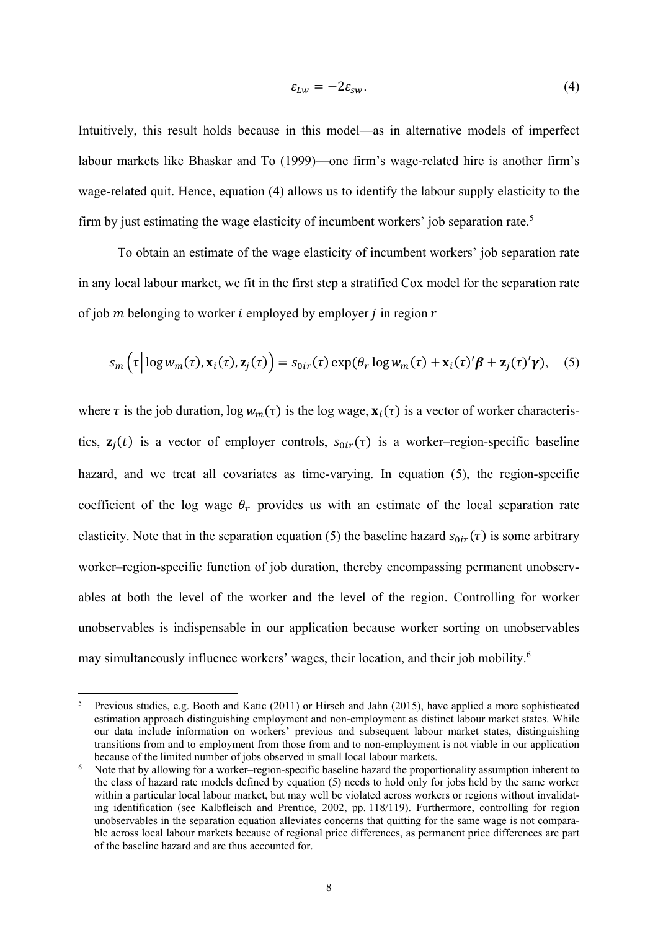$$
\varepsilon_{Lw} = -2\varepsilon_{sw}.\tag{4}
$$

Intuitively, this result holds because in this model—as in alternative models of imperfect labour markets like Bhaskar and To (1999)—one firm's wage-related hire is another firm's wage-related quit. Hence, equation (4) allows us to identify the labour supply elasticity to the firm by just estimating the wage elasticity of incumbent workers' job separation rate.5

To obtain an estimate of the wage elasticity of incumbent workers' job separation rate in any local labour market, we fit in the first step a stratified Cox model for the separation rate of job  $m$  belonging to worker  $i$  employed by employer  $j$  in region  $r$ 

$$
s_m\left(\tau\Big|\log w_m(\tau), \mathbf{x}_i(\tau), \mathbf{z}_j(\tau)\right) = s_{0ir}(\tau) \exp(\theta_r \log w_m(\tau) + \mathbf{x}_i(\tau)'\boldsymbol{\beta} + \mathbf{z}_j(\tau)'\boldsymbol{\gamma}), \quad (5)
$$

where  $\tau$  is the job duration,  $\log w_m(\tau)$  is the log wage,  $\mathbf{x}_i(\tau)$  is a vector of worker characteristics,  $\mathbf{z}_i(t)$  is a vector of employer controls,  $s_{0ir}(\tau)$  is a worker–region-specific baseline hazard, and we treat all covariates as time-varying. In equation (5), the region-specific coefficient of the log wage  $\theta_r$  provides us with an estimate of the local separation rate elasticity. Note that in the separation equation (5) the baseline hazard  $s_{0ir}(\tau)$  is some arbitrary worker–region-specific function of job duration, thereby encompassing permanent unobservables at both the level of the worker and the level of the region. Controlling for worker unobservables is indispensable in our application because worker sorting on unobservables may simultaneously influence workers' wages, their location, and their job mobility.<sup>6</sup>

<sup>5</sup> Previous studies, e.g. Booth and Katic (2011) or Hirsch and Jahn (2015), have applied a more sophisticated estimation approach distinguishing employment and non-employment as distinct labour market states. While our data include information on workers' previous and subsequent labour market states, distinguishing transitions from and to employment from those from and to non-employment is not viable in our application because of the limited number of jobs observed in small local labour markets.

<sup>6</sup> Note that by allowing for a worker–region-specific baseline hazard the proportionality assumption inherent to the class of hazard rate models defined by equation (5) needs to hold only for jobs held by the same worker within a particular local labour market, but may well be violated across workers or regions without invalidating identification (see Kalbfleisch and Prentice, 2002, pp. 118/119). Furthermore, controlling for region unobservables in the separation equation alleviates concerns that quitting for the same wage is not comparable across local labour markets because of regional price differences, as permanent price differences are part of the baseline hazard and are thus accounted for.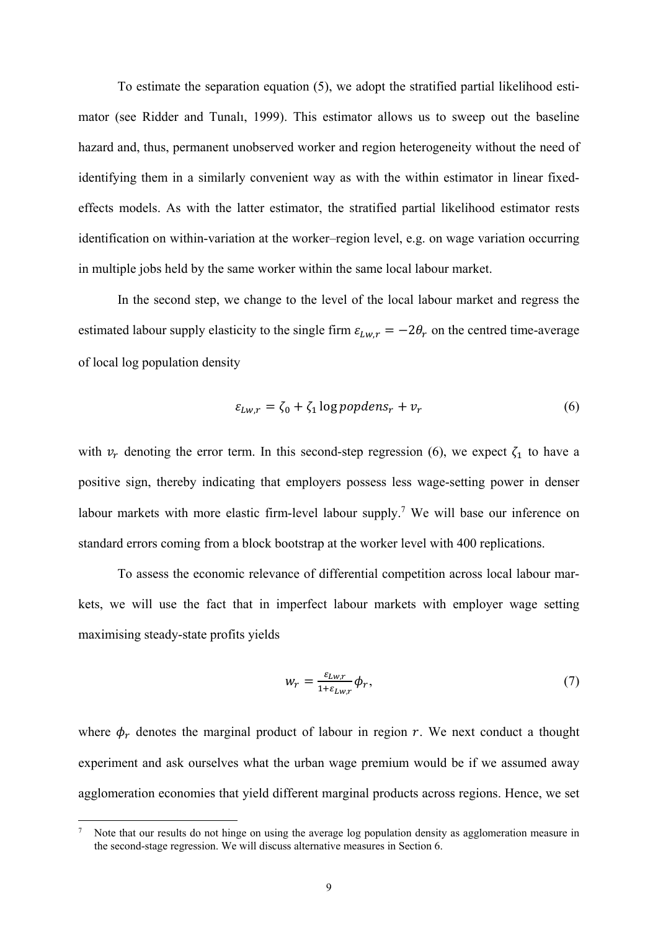To estimate the separation equation (5), we adopt the stratified partial likelihood estimator (see Ridder and Tunalı, 1999). This estimator allows us to sweep out the baseline hazard and, thus, permanent unobserved worker and region heterogeneity without the need of identifying them in a similarly convenient way as with the within estimator in linear fixedeffects models. As with the latter estimator, the stratified partial likelihood estimator rests identification on within-variation at the worker–region level, e.g. on wage variation occurring in multiple jobs held by the same worker within the same local labour market.

In the second step, we change to the level of the local labour market and regress the estimated labour supply elasticity to the single firm  $\varepsilon_{Lw,r} = -2\theta_r$  on the centred time-average of local log population density

$$
\varepsilon_{Lw,r} = \zeta_0 + \zeta_1 \log popdens_r + v_r \tag{6}
$$

with  $v_r$  denoting the error term. In this second-step regression (6), we expect  $\zeta_1$  to have a positive sign, thereby indicating that employers possess less wage-setting power in denser labour markets with more elastic firm-level labour supply.<sup>7</sup> We will base our inference on standard errors coming from a block bootstrap at the worker level with 400 replications.

To assess the economic relevance of differential competition across local labour markets, we will use the fact that in imperfect labour markets with employer wage setting maximising steady-state profits yields

$$
w_r = \frac{\varepsilon_{Lw,r}}{1 + \varepsilon_{Lw,r}} \phi_r,\tag{7}
$$

where  $\phi_r$  denotes the marginal product of labour in region r. We next conduct a thought experiment and ask ourselves what the urban wage premium would be if we assumed away agglomeration economies that yield different marginal products across regions. Hence, we set

<sup>7</sup> Note that our results do not hinge on using the average log population density as agglomeration measure in the second-stage regression. We will discuss alternative measures in Section 6.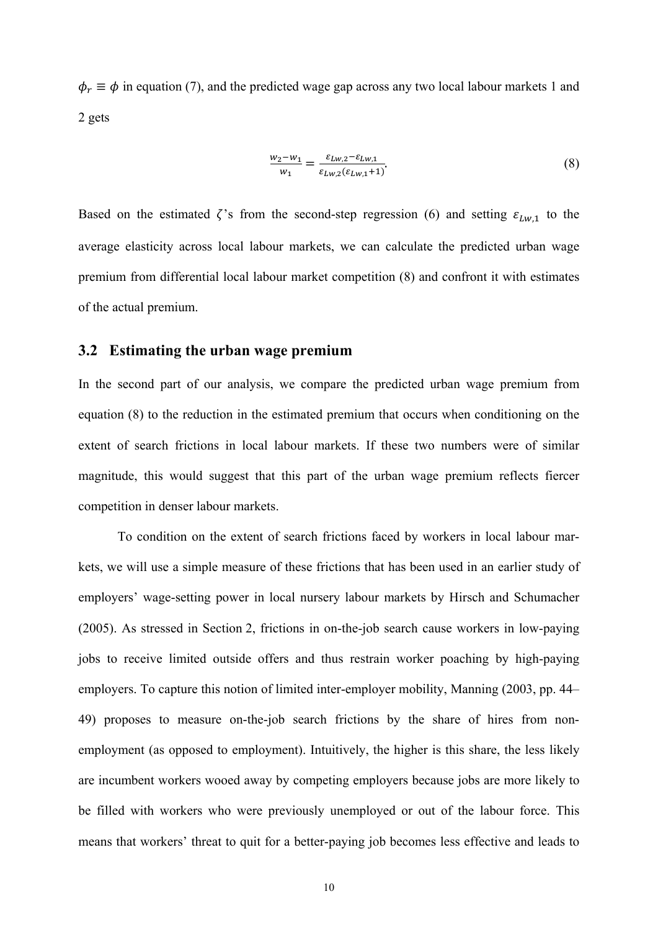$\phi_r \equiv \phi$  in equation (7), and the predicted wage gap across any two local labour markets 1 and 2 gets

$$
\frac{w_2 - w_1}{w_1} = \frac{\varepsilon_{Lw,2} - \varepsilon_{Lw,1}}{\varepsilon_{Lw,2}(\varepsilon_{Lw,1} + 1)}.
$$
\n(8)

Based on the estimated  $\zeta$ 's from the second-step regression (6) and setting  $\varepsilon_{Lw,1}$  to the average elasticity across local labour markets, we can calculate the predicted urban wage premium from differential local labour market competition (8) and confront it with estimates of the actual premium.

#### **3.2 Estimating the urban wage premium**

In the second part of our analysis, we compare the predicted urban wage premium from equation (8) to the reduction in the estimated premium that occurs when conditioning on the extent of search frictions in local labour markets. If these two numbers were of similar magnitude, this would suggest that this part of the urban wage premium reflects fiercer competition in denser labour markets.

To condition on the extent of search frictions faced by workers in local labour markets, we will use a simple measure of these frictions that has been used in an earlier study of employers' wage-setting power in local nursery labour markets by Hirsch and Schumacher (2005). As stressed in Section 2, frictions in on-the-job search cause workers in low-paying jobs to receive limited outside offers and thus restrain worker poaching by high-paying employers. To capture this notion of limited inter-employer mobility, Manning (2003, pp. 44– 49) proposes to measure on-the-job search frictions by the share of hires from nonemployment (as opposed to employment). Intuitively, the higher is this share, the less likely are incumbent workers wooed away by competing employers because jobs are more likely to be filled with workers who were previously unemployed or out of the labour force. This means that workers' threat to quit for a better-paying job becomes less effective and leads to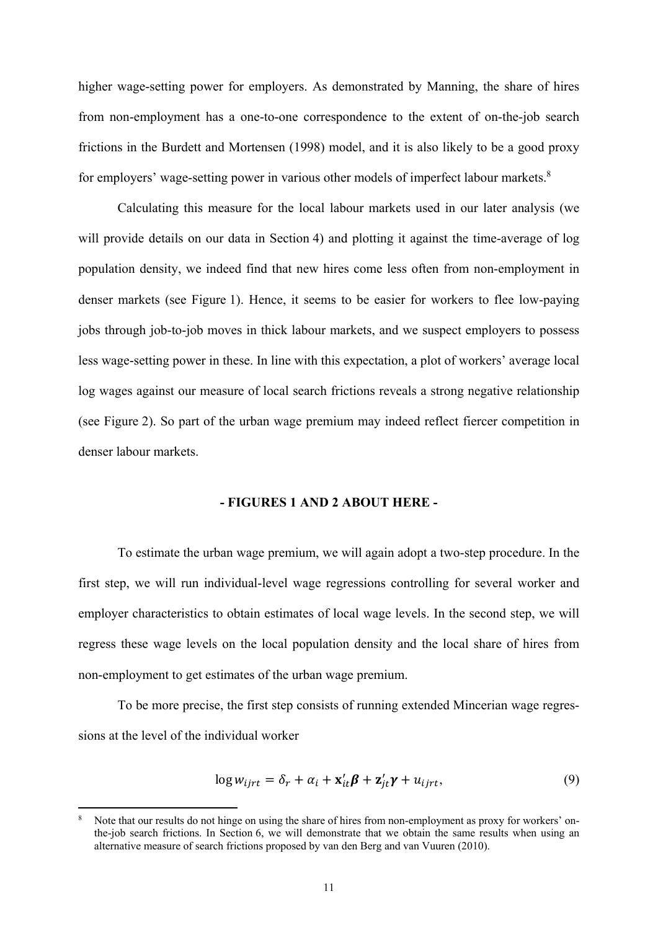higher wage-setting power for employers. As demonstrated by Manning, the share of hires from non-employment has a one-to-one correspondence to the extent of on-the-job search frictions in the Burdett and Mortensen (1998) model, and it is also likely to be a good proxy for employers' wage-setting power in various other models of imperfect labour markets.<sup>8</sup>

Calculating this measure for the local labour markets used in our later analysis (we will provide details on our data in Section 4) and plotting it against the time-average of log population density, we indeed find that new hires come less often from non-employment in denser markets (see Figure 1). Hence, it seems to be easier for workers to flee low-paying jobs through job-to-job moves in thick labour markets, and we suspect employers to possess less wage-setting power in these. In line with this expectation, a plot of workers' average local log wages against our measure of local search frictions reveals a strong negative relationship (see Figure 2). So part of the urban wage premium may indeed reflect fiercer competition in denser labour markets.

#### **- FIGURES 1 AND 2 ABOUT HERE -**

To estimate the urban wage premium, we will again adopt a two-step procedure. In the first step, we will run individual-level wage regressions controlling for several worker and employer characteristics to obtain estimates of local wage levels. In the second step, we will regress these wage levels on the local population density and the local share of hires from non-employment to get estimates of the urban wage premium.

To be more precise, the first step consists of running extended Mincerian wage regressions at the level of the individual worker

$$
\log w_{ijrt} = \delta_r + \alpha_i + \mathbf{x}'_{it} \boldsymbol{\beta} + \mathbf{z}'_{jt} \boldsymbol{\gamma} + u_{ijrt},\tag{9}
$$

<sup>8</sup> Note that our results do not hinge on using the share of hires from non-employment as proxy for workers' onthe-job search frictions. In Section 6, we will demonstrate that we obtain the same results when using an alternative measure of search frictions proposed by van den Berg and van Vuuren (2010).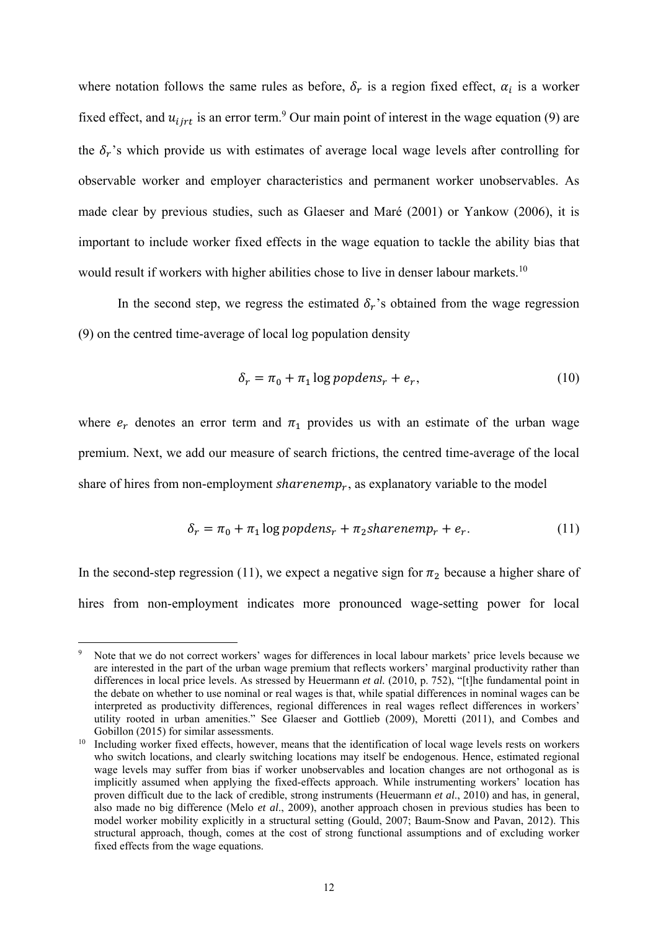where notation follows the same rules as before,  $\delta_r$  is a region fixed effect,  $\alpha_i$  is a worker fixed effect, and  $u_{ijrt}$  is an error term.<sup>9</sup> Our main point of interest in the wage equation (9) are the  $\delta_r$ 's which provide us with estimates of average local wage levels after controlling for observable worker and employer characteristics and permanent worker unobservables. As made clear by previous studies, such as Glaeser and Maré (2001) or Yankow (2006), it is important to include worker fixed effects in the wage equation to tackle the ability bias that would result if workers with higher abilities chose to live in denser labour markets.<sup>10</sup>

In the second step, we regress the estimated  $\delta_r$ 's obtained from the wage regression (9) on the centred time-average of local log population density

$$
\delta_r = \pi_0 + \pi_1 \log popdens_r + e_r,\tag{10}
$$

where  $e_r$  denotes an error term and  $\pi_1$  provides us with an estimate of the urban wage premium. Next, we add our measure of search frictions, the centred time-average of the local share of hires from non-employment share  $n_{r}$ , as explanatory variable to the model

$$
\delta_r = \pi_0 + \pi_1 \log popdens_r + \pi_2 sharenemp_r + e_r.
$$
 (11)

In the second-step regression (11), we expect a negative sign for  $\pi_2$  because a higher share of hires from non-employment indicates more pronounced wage-setting power for local

<u>.</u>

<sup>9</sup> Note that we do not correct workers' wages for differences in local labour markets' price levels because we are interested in the part of the urban wage premium that reflects workers' marginal productivity rather than differences in local price levels. As stressed by Heuermann *et al.* (2010, p. 752), "[t]he fundamental point in the debate on whether to use nominal or real wages is that, while spatial differences in nominal wages can be interpreted as productivity differences, regional differences in real wages reflect differences in workers' utility rooted in urban amenities." See Glaeser and Gottlieb (2009), Moretti (2011), and Combes and Gobillon (2015) for similar assessments.

<sup>&</sup>lt;sup>10</sup> Including worker fixed effects, however, means that the identification of local wage levels rests on workers who switch locations, and clearly switching locations may itself be endogenous. Hence, estimated regional wage levels may suffer from bias if worker unobservables and location changes are not orthogonal as is implicitly assumed when applying the fixed-effects approach. While instrumenting workers' location has proven difficult due to the lack of credible, strong instruments (Heuermann *et al*., 2010) and has, in general, also made no big difference (Melo *et al*., 2009), another approach chosen in previous studies has been to model worker mobility explicitly in a structural setting (Gould, 2007; Baum-Snow and Pavan, 2012). This structural approach, though, comes at the cost of strong functional assumptions and of excluding worker fixed effects from the wage equations.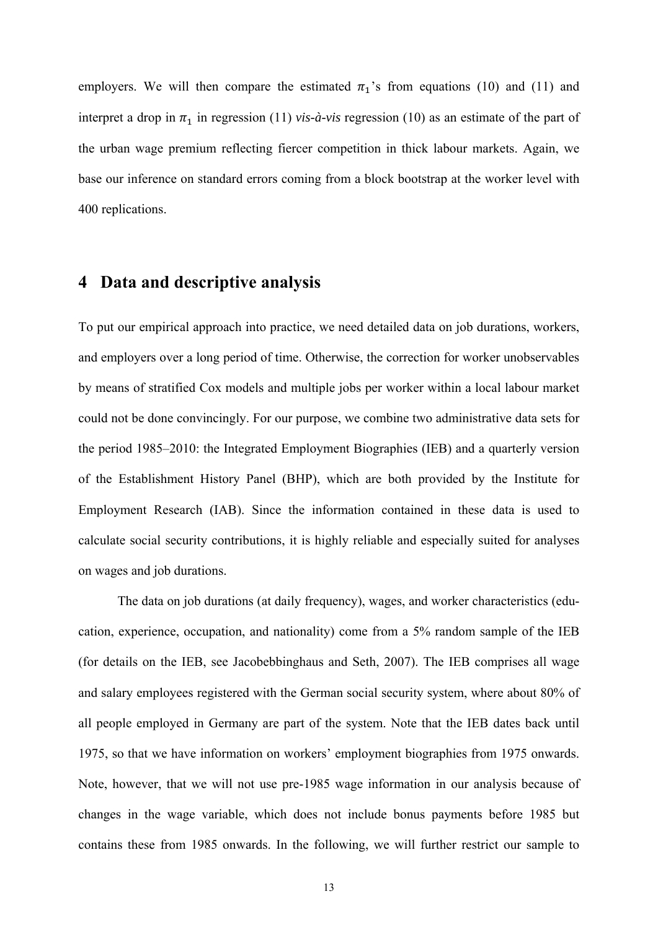employers. We will then compare the estimated  $\pi_1$ 's from equations (10) and (11) and interpret a drop in  $\pi_1$  in regression (11) *vis-à-vis* regression (10) as an estimate of the part of the urban wage premium reflecting fiercer competition in thick labour markets. Again, we base our inference on standard errors coming from a block bootstrap at the worker level with 400 replications.

## **4 Data and descriptive analysis**

To put our empirical approach into practice, we need detailed data on job durations, workers, and employers over a long period of time. Otherwise, the correction for worker unobservables by means of stratified Cox models and multiple jobs per worker within a local labour market could not be done convincingly. For our purpose, we combine two administrative data sets for the period 1985–2010: the Integrated Employment Biographies (IEB) and a quarterly version of the Establishment History Panel (BHP), which are both provided by the Institute for Employment Research (IAB). Since the information contained in these data is used to calculate social security contributions, it is highly reliable and especially suited for analyses on wages and job durations.

The data on job durations (at daily frequency), wages, and worker characteristics (education, experience, occupation, and nationality) come from a 5% random sample of the IEB (for details on the IEB, see Jacobebbinghaus and Seth, 2007). The IEB comprises all wage and salary employees registered with the German social security system, where about 80% of all people employed in Germany are part of the system. Note that the IEB dates back until 1975, so that we have information on workers' employment biographies from 1975 onwards. Note, however, that we will not use pre-1985 wage information in our analysis because of changes in the wage variable, which does not include bonus payments before 1985 but contains these from 1985 onwards. In the following, we will further restrict our sample to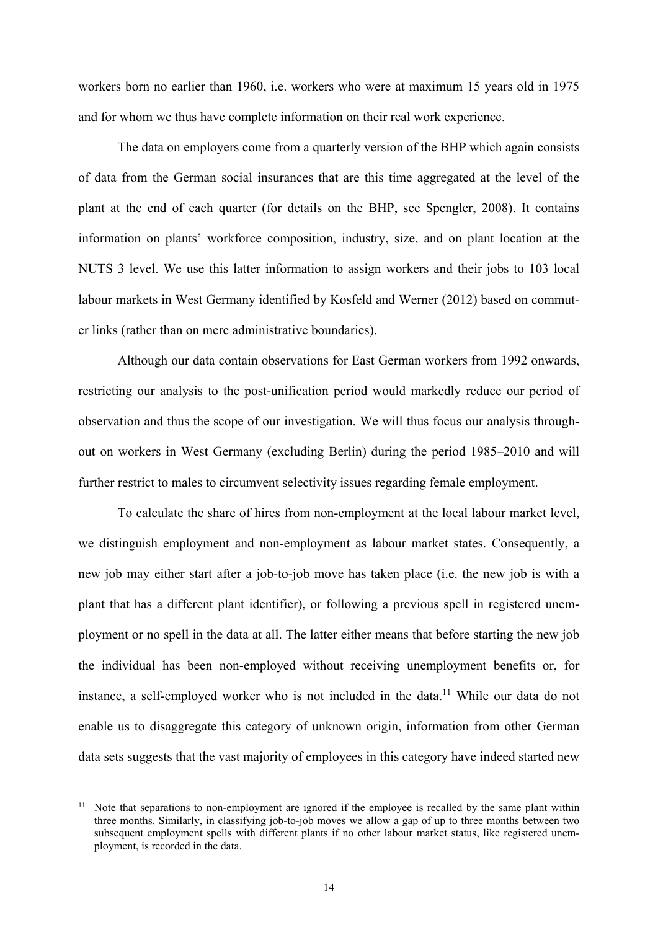workers born no earlier than 1960, i.e. workers who were at maximum 15 years old in 1975 and for whom we thus have complete information on their real work experience.

The data on employers come from a quarterly version of the BHP which again consists of data from the German social insurances that are this time aggregated at the level of the plant at the end of each quarter (for details on the BHP, see Spengler, 2008). It contains information on plants' workforce composition, industry, size, and on plant location at the NUTS 3 level. We use this latter information to assign workers and their jobs to 103 local labour markets in West Germany identified by Kosfeld and Werner (2012) based on commuter links (rather than on mere administrative boundaries).

Although our data contain observations for East German workers from 1992 onwards, restricting our analysis to the post-unification period would markedly reduce our period of observation and thus the scope of our investigation. We will thus focus our analysis throughout on workers in West Germany (excluding Berlin) during the period 1985–2010 and will further restrict to males to circumvent selectivity issues regarding female employment.

To calculate the share of hires from non-employment at the local labour market level, we distinguish employment and non-employment as labour market states. Consequently, a new job may either start after a job-to-job move has taken place (i.e. the new job is with a plant that has a different plant identifier), or following a previous spell in registered unemployment or no spell in the data at all. The latter either means that before starting the new job the individual has been non-employed without receiving unemployment benefits or, for instance, a self-employed worker who is not included in the data.<sup>11</sup> While our data do not enable us to disaggregate this category of unknown origin, information from other German data sets suggests that the vast majority of employees in this category have indeed started new

<u>.</u>

<sup>&</sup>lt;sup>11</sup> Note that separations to non-employment are ignored if the employee is recalled by the same plant within three months. Similarly, in classifying job-to-job moves we allow a gap of up to three months between two subsequent employment spells with different plants if no other labour market status, like registered unemployment, is recorded in the data.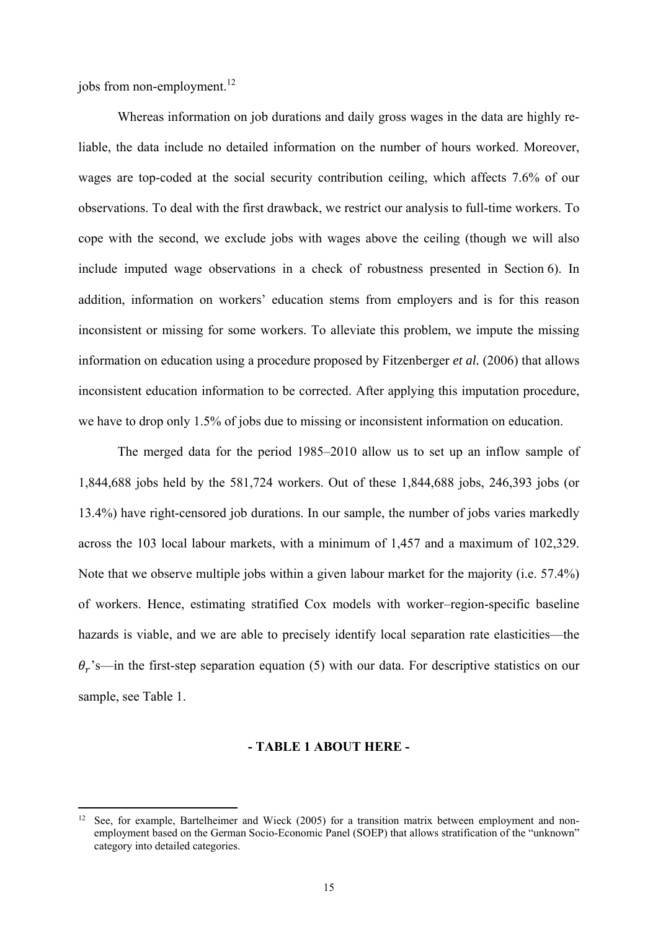jobs from non-employment.<sup>12</sup>

1

Whereas information on job durations and daily gross wages in the data are highly reliable, the data include no detailed information on the number of hours worked. Moreover, wages are top-coded at the social security contribution ceiling, which affects 7.6% of our observations. To deal with the first drawback, we restrict our analysis to full-time workers. To cope with the second, we exclude jobs with wages above the ceiling (though we will also include imputed wage observations in a check of robustness presented in Section 6). In addition, information on workers' education stems from employers and is for this reason inconsistent or missing for some workers. To alleviate this problem, we impute the missing information on education using a procedure proposed by Fitzenberger *et al.* (2006) that allows inconsistent education information to be corrected. After applying this imputation procedure, we have to drop only 1.5% of jobs due to missing or inconsistent information on education.

The merged data for the period 1985–2010 allow us to set up an inflow sample of 1,844,688 jobs held by the 581,724 workers. Out of these 1,844,688 jobs, 246,393 jobs (or 13.4%) have right-censored job durations. In our sample, the number of jobs varies markedly across the 103 local labour markets, with a minimum of 1,457 and a maximum of 102,329. Note that we observe multiple jobs within a given labour market for the majority (i.e. 57.4%) of workers. Hence, estimating stratified Cox models with worker–region-specific baseline hazards is viable, and we are able to precisely identify local separation rate elasticities—the  $\theta_r$ 's—in the first-step separation equation (5) with our data. For descriptive statistics on our sample, see Table 1.

#### **- TABLE 1 ABOUT HERE -**

<sup>&</sup>lt;sup>12</sup> See, for example, Bartelheimer and Wieck (2005) for a transition matrix between employment and nonemployment based on the German Socio-Economic Panel (SOEP) that allows stratification of the "unknown" category into detailed categories.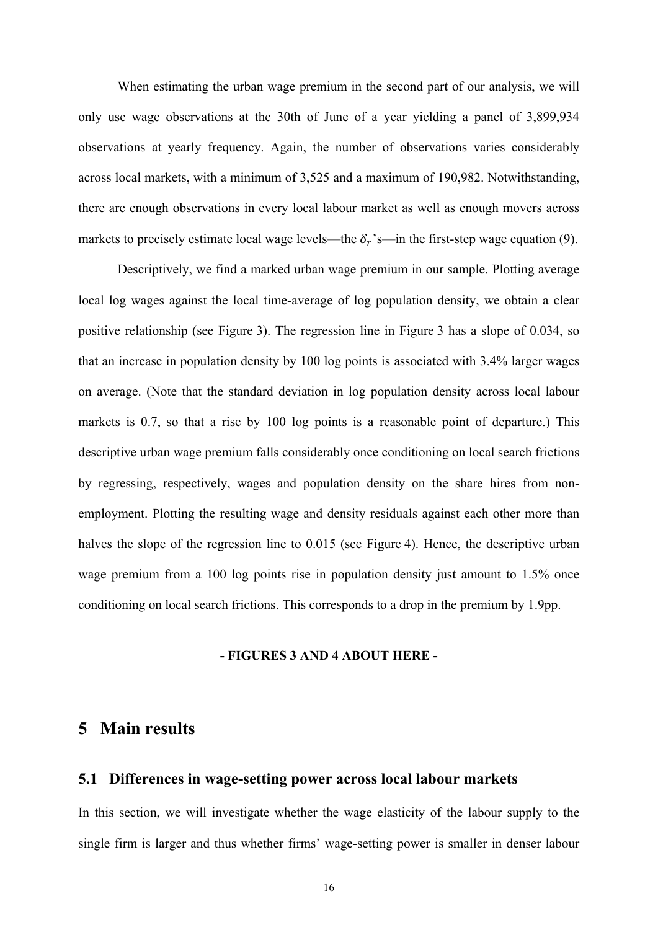When estimating the urban wage premium in the second part of our analysis, we will only use wage observations at the 30th of June of a year yielding a panel of 3,899,934 observations at yearly frequency. Again, the number of observations varies considerably across local markets, with a minimum of 3,525 and a maximum of 190,982. Notwithstanding, there are enough observations in every local labour market as well as enough movers across markets to precisely estimate local wage levels—the  $\delta_r$ 's—in the first-step wage equation (9).

Descriptively, we find a marked urban wage premium in our sample. Plotting average local log wages against the local time-average of log population density, we obtain a clear positive relationship (see Figure 3). The regression line in Figure 3 has a slope of 0.034, so that an increase in population density by 100 log points is associated with 3.4% larger wages on average. (Note that the standard deviation in log population density across local labour markets is 0.7, so that a rise by 100 log points is a reasonable point of departure.) This descriptive urban wage premium falls considerably once conditioning on local search frictions by regressing, respectively, wages and population density on the share hires from nonemployment. Plotting the resulting wage and density residuals against each other more than halves the slope of the regression line to 0.015 (see Figure 4). Hence, the descriptive urban wage premium from a 100 log points rise in population density just amount to 1.5% once conditioning on local search frictions. This corresponds to a drop in the premium by 1.9pp.

#### **- FIGURES 3 AND 4 ABOUT HERE -**

### **5 Main results**

#### **5.1 Differences in wage-setting power across local labour markets**

In this section, we will investigate whether the wage elasticity of the labour supply to the single firm is larger and thus whether firms' wage-setting power is smaller in denser labour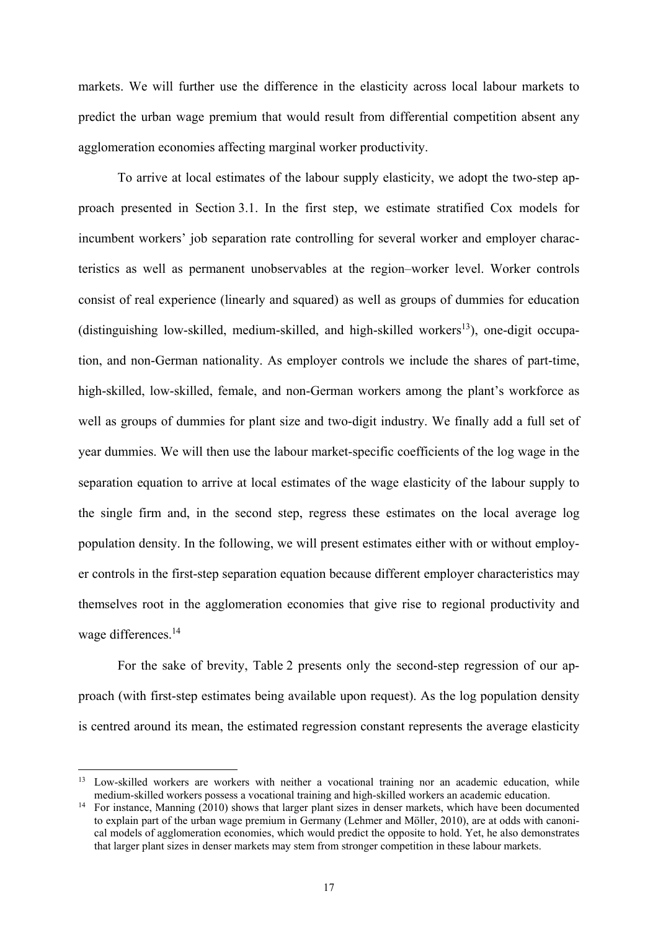markets. We will further use the difference in the elasticity across local labour markets to predict the urban wage premium that would result from differential competition absent any agglomeration economies affecting marginal worker productivity.

To arrive at local estimates of the labour supply elasticity, we adopt the two-step approach presented in Section 3.1. In the first step, we estimate stratified Cox models for incumbent workers' job separation rate controlling for several worker and employer characteristics as well as permanent unobservables at the region–worker level. Worker controls consist of real experience (linearly and squared) as well as groups of dummies for education (distinguishing low-skilled, medium-skilled, and high-skilled workers<sup>13</sup>), one-digit occupation, and non-German nationality. As employer controls we include the shares of part-time, high-skilled, low-skilled, female, and non-German workers among the plant's workforce as well as groups of dummies for plant size and two-digit industry. We finally add a full set of year dummies. We will then use the labour market-specific coefficients of the log wage in the separation equation to arrive at local estimates of the wage elasticity of the labour supply to the single firm and, in the second step, regress these estimates on the local average log population density. In the following, we will present estimates either with or without employer controls in the first-step separation equation because different employer characteristics may themselves root in the agglomeration economies that give rise to regional productivity and wage differences.<sup>14</sup>

For the sake of brevity, Table 2 presents only the second-step regression of our approach (with first-step estimates being available upon request). As the log population density is centred around its mean, the estimated regression constant represents the average elasticity

<sup>&</sup>lt;sup>13</sup> Low-skilled workers are workers with neither a vocational training nor an academic education, while medium-skilled workers possess a vocational training and high-skilled workers an academic education. 14 For instance, Manning (2010) shows that larger plant sizes in denser markets, which have been documented

to explain part of the urban wage premium in Germany (Lehmer and Möller, 2010), are at odds with canonical models of agglomeration economies, which would predict the opposite to hold. Yet, he also demonstrates that larger plant sizes in denser markets may stem from stronger competition in these labour markets.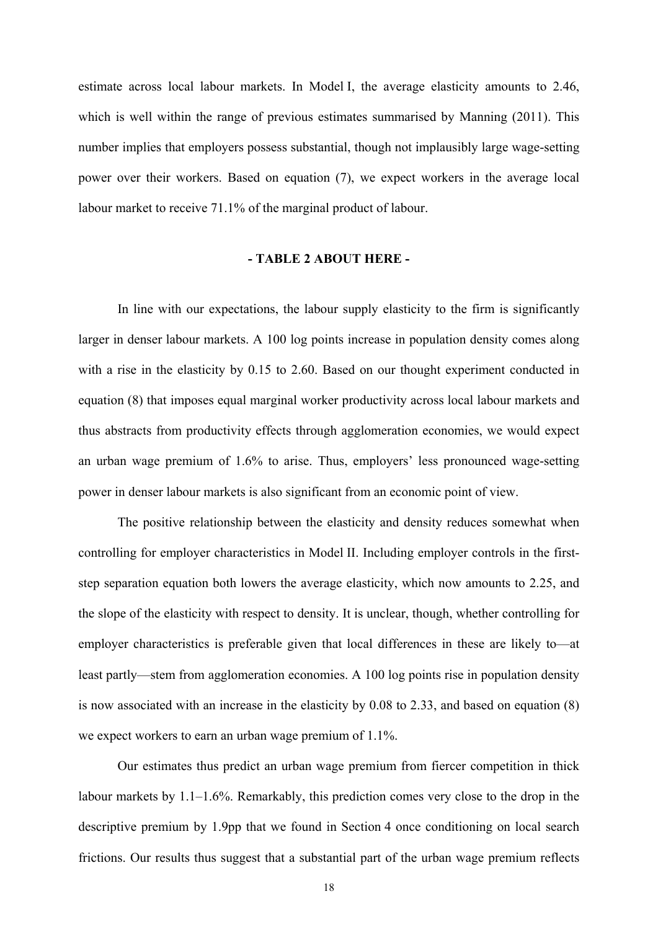estimate across local labour markets. In Model I, the average elasticity amounts to 2.46, which is well within the range of previous estimates summarised by Manning (2011). This number implies that employers possess substantial, though not implausibly large wage-setting power over their workers. Based on equation (7), we expect workers in the average local labour market to receive 71.1% of the marginal product of labour.

#### **- TABLE 2 ABOUT HERE -**

In line with our expectations, the labour supply elasticity to the firm is significantly larger in denser labour markets. A 100 log points increase in population density comes along with a rise in the elasticity by 0.15 to 2.60. Based on our thought experiment conducted in equation (8) that imposes equal marginal worker productivity across local labour markets and thus abstracts from productivity effects through agglomeration economies, we would expect an urban wage premium of 1.6% to arise. Thus, employers' less pronounced wage-setting power in denser labour markets is also significant from an economic point of view.

The positive relationship between the elasticity and density reduces somewhat when controlling for employer characteristics in Model II. Including employer controls in the firststep separation equation both lowers the average elasticity, which now amounts to 2.25, and the slope of the elasticity with respect to density. It is unclear, though, whether controlling for employer characteristics is preferable given that local differences in these are likely to—at least partly—stem from agglomeration economies. A 100 log points rise in population density is now associated with an increase in the elasticity by 0.08 to 2.33, and based on equation (8) we expect workers to earn an urban wage premium of 1.1%.

Our estimates thus predict an urban wage premium from fiercer competition in thick labour markets by 1.1–1.6%. Remarkably, this prediction comes very close to the drop in the descriptive premium by 1.9pp that we found in Section 4 once conditioning on local search frictions. Our results thus suggest that a substantial part of the urban wage premium reflects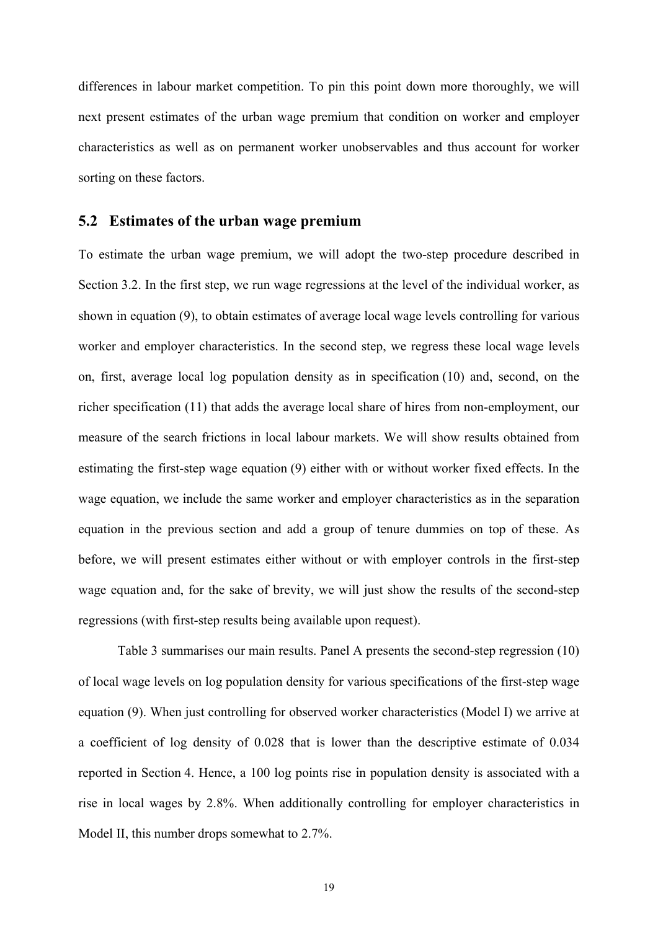differences in labour market competition. To pin this point down more thoroughly, we will next present estimates of the urban wage premium that condition on worker and employer characteristics as well as on permanent worker unobservables and thus account for worker sorting on these factors.

#### **5.2 Estimates of the urban wage premium**

To estimate the urban wage premium, we will adopt the two-step procedure described in Section 3.2. In the first step, we run wage regressions at the level of the individual worker, as shown in equation (9), to obtain estimates of average local wage levels controlling for various worker and employer characteristics. In the second step, we regress these local wage levels on, first, average local log population density as in specification (10) and, second, on the richer specification (11) that adds the average local share of hires from non-employment, our measure of the search frictions in local labour markets. We will show results obtained from estimating the first-step wage equation (9) either with or without worker fixed effects. In the wage equation, we include the same worker and employer characteristics as in the separation equation in the previous section and add a group of tenure dummies on top of these. As before, we will present estimates either without or with employer controls in the first-step wage equation and, for the sake of brevity, we will just show the results of the second-step regressions (with first-step results being available upon request).

Table 3 summarises our main results. Panel A presents the second-step regression (10) of local wage levels on log population density for various specifications of the first-step wage equation (9). When just controlling for observed worker characteristics (Model I) we arrive at a coefficient of log density of 0.028 that is lower than the descriptive estimate of 0.034 reported in Section 4. Hence, a 100 log points rise in population density is associated with a rise in local wages by 2.8%. When additionally controlling for employer characteristics in Model II, this number drops somewhat to 2.7%.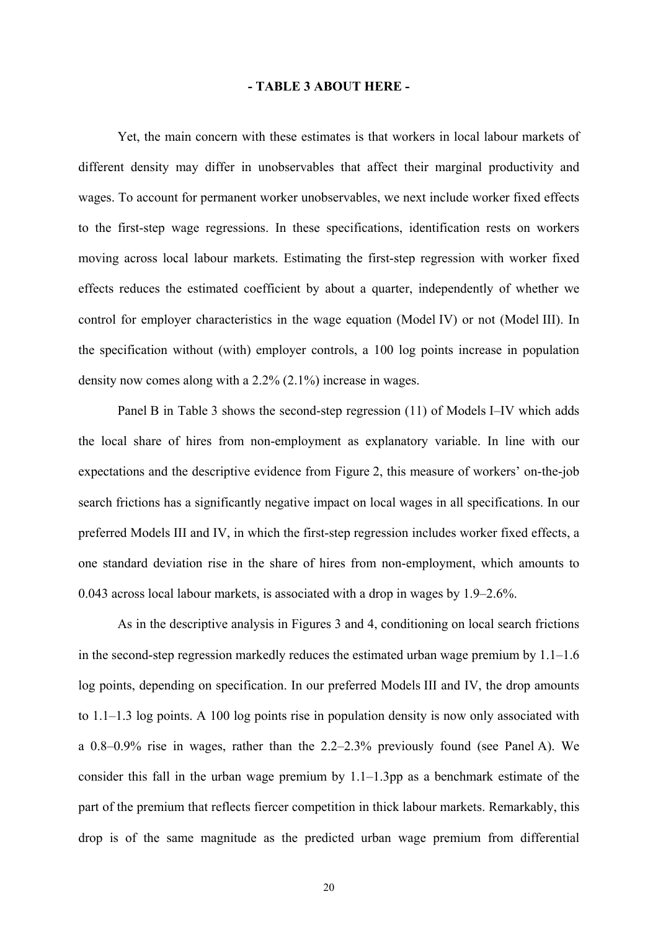#### **- TABLE 3 ABOUT HERE -**

Yet, the main concern with these estimates is that workers in local labour markets of different density may differ in unobservables that affect their marginal productivity and wages. To account for permanent worker unobservables, we next include worker fixed effects to the first-step wage regressions. In these specifications, identification rests on workers moving across local labour markets. Estimating the first-step regression with worker fixed effects reduces the estimated coefficient by about a quarter, independently of whether we control for employer characteristics in the wage equation (Model IV) or not (Model III). In the specification without (with) employer controls, a 100 log points increase in population density now comes along with a 2.2% (2.1%) increase in wages.

Panel B in Table 3 shows the second-step regression (11) of Models I–IV which adds the local share of hires from non-employment as explanatory variable. In line with our expectations and the descriptive evidence from Figure 2, this measure of workers' on-the-job search frictions has a significantly negative impact on local wages in all specifications. In our preferred Models III and IV, in which the first-step regression includes worker fixed effects, a one standard deviation rise in the share of hires from non-employment, which amounts to 0.043 across local labour markets, is associated with a drop in wages by 1.9–2.6%.

As in the descriptive analysis in Figures 3 and 4, conditioning on local search frictions in the second-step regression markedly reduces the estimated urban wage premium by 1.1–1.6 log points, depending on specification. In our preferred Models III and IV, the drop amounts to 1.1–1.3 log points. A 100 log points rise in population density is now only associated with a 0.8–0.9% rise in wages, rather than the 2.2–2.3% previously found (see Panel A). We consider this fall in the urban wage premium by 1.1–1.3pp as a benchmark estimate of the part of the premium that reflects fiercer competition in thick labour markets. Remarkably, this drop is of the same magnitude as the predicted urban wage premium from differential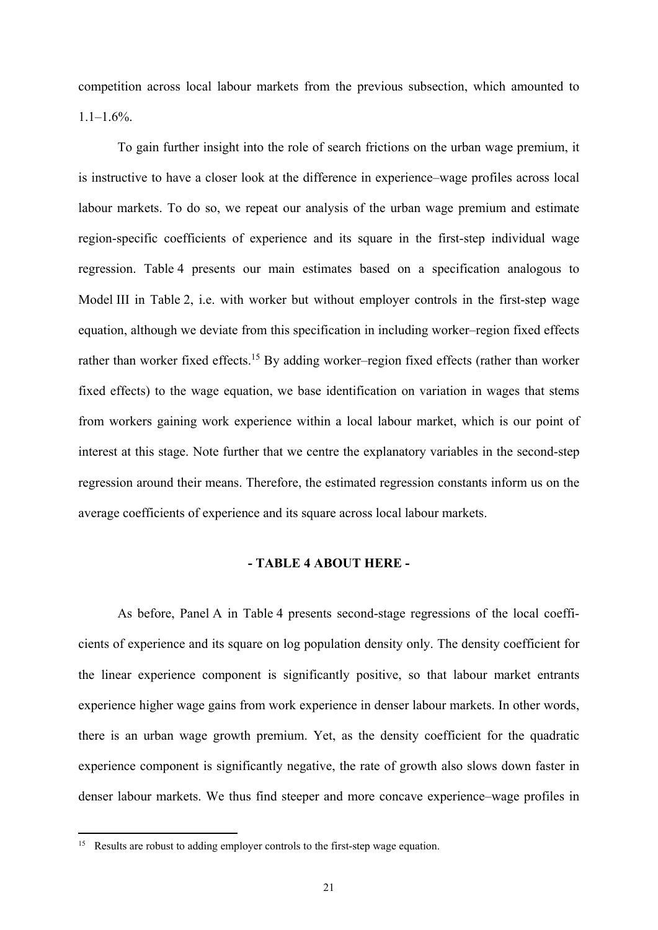competition across local labour markets from the previous subsection, which amounted to  $1.1-1.6\%$ .

To gain further insight into the role of search frictions on the urban wage premium, it is instructive to have a closer look at the difference in experience–wage profiles across local labour markets. To do so, we repeat our analysis of the urban wage premium and estimate region-specific coefficients of experience and its square in the first-step individual wage regression. Table 4 presents our main estimates based on a specification analogous to Model III in Table 2, i.e. with worker but without employer controls in the first-step wage equation, although we deviate from this specification in including worker–region fixed effects rather than worker fixed effects.<sup>15</sup> By adding worker–region fixed effects (rather than worker fixed effects) to the wage equation, we base identification on variation in wages that stems from workers gaining work experience within a local labour market, which is our point of interest at this stage. Note further that we centre the explanatory variables in the second-step regression around their means. Therefore, the estimated regression constants inform us on the average coefficients of experience and its square across local labour markets.

#### **- TABLE 4 ABOUT HERE -**

As before, Panel A in Table 4 presents second-stage regressions of the local coefficients of experience and its square on log population density only. The density coefficient for the linear experience component is significantly positive, so that labour market entrants experience higher wage gains from work experience in denser labour markets. In other words, there is an urban wage growth premium. Yet, as the density coefficient for the quadratic experience component is significantly negative, the rate of growth also slows down faster in denser labour markets. We thus find steeper and more concave experience–wage profiles in

<u>.</u>

<sup>&</sup>lt;sup>15</sup> Results are robust to adding employer controls to the first-step wage equation.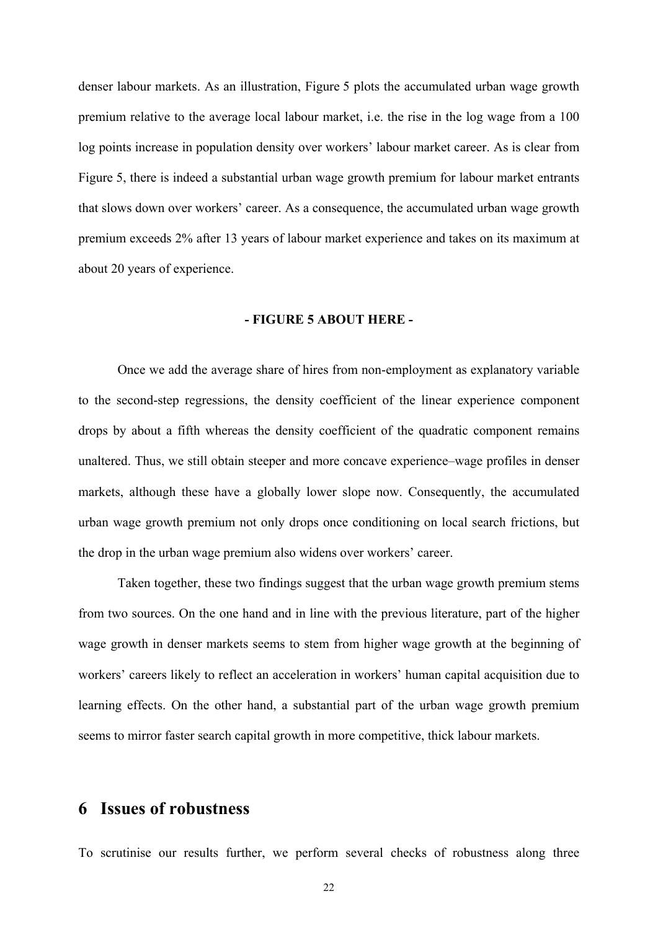denser labour markets. As an illustration, Figure 5 plots the accumulated urban wage growth premium relative to the average local labour market, i.e. the rise in the log wage from a 100 log points increase in population density over workers' labour market career. As is clear from Figure 5, there is indeed a substantial urban wage growth premium for labour market entrants that slows down over workers' career. As a consequence, the accumulated urban wage growth premium exceeds 2% after 13 years of labour market experience and takes on its maximum at about 20 years of experience.

#### **- FIGURE 5 ABOUT HERE -**

Once we add the average share of hires from non-employment as explanatory variable to the second-step regressions, the density coefficient of the linear experience component drops by about a fifth whereas the density coefficient of the quadratic component remains unaltered. Thus, we still obtain steeper and more concave experience–wage profiles in denser markets, although these have a globally lower slope now. Consequently, the accumulated urban wage growth premium not only drops once conditioning on local search frictions, but the drop in the urban wage premium also widens over workers' career.

Taken together, these two findings suggest that the urban wage growth premium stems from two sources. On the one hand and in line with the previous literature, part of the higher wage growth in denser markets seems to stem from higher wage growth at the beginning of workers' careers likely to reflect an acceleration in workers' human capital acquisition due to learning effects. On the other hand, a substantial part of the urban wage growth premium seems to mirror faster search capital growth in more competitive, thick labour markets.

## **6 Issues of robustness**

To scrutinise our results further, we perform several checks of robustness along three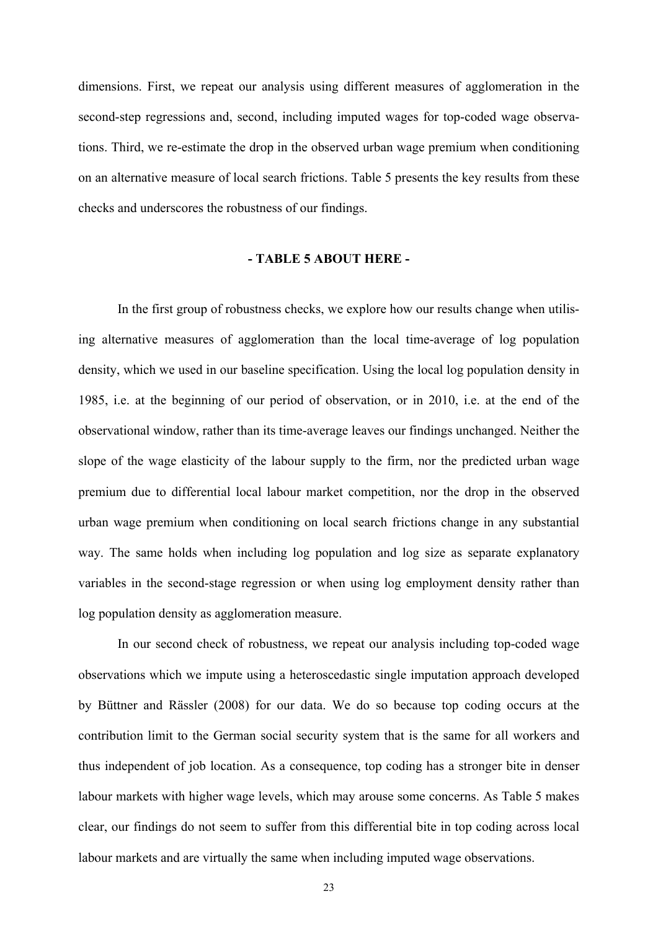dimensions. First, we repeat our analysis using different measures of agglomeration in the second-step regressions and, second, including imputed wages for top-coded wage observations. Third, we re-estimate the drop in the observed urban wage premium when conditioning on an alternative measure of local search frictions. Table 5 presents the key results from these checks and underscores the robustness of our findings.

#### **- TABLE 5 ABOUT HERE -**

In the first group of robustness checks, we explore how our results change when utilising alternative measures of agglomeration than the local time-average of log population density, which we used in our baseline specification. Using the local log population density in 1985, i.e. at the beginning of our period of observation, or in 2010, i.e. at the end of the observational window, rather than its time-average leaves our findings unchanged. Neither the slope of the wage elasticity of the labour supply to the firm, nor the predicted urban wage premium due to differential local labour market competition, nor the drop in the observed urban wage premium when conditioning on local search frictions change in any substantial way. The same holds when including log population and log size as separate explanatory variables in the second-stage regression or when using log employment density rather than log population density as agglomeration measure.

In our second check of robustness, we repeat our analysis including top-coded wage observations which we impute using a heteroscedastic single imputation approach developed by Büttner and Rässler (2008) for our data. We do so because top coding occurs at the contribution limit to the German social security system that is the same for all workers and thus independent of job location. As a consequence, top coding has a stronger bite in denser labour markets with higher wage levels, which may arouse some concerns. As Table 5 makes clear, our findings do not seem to suffer from this differential bite in top coding across local labour markets and are virtually the same when including imputed wage observations.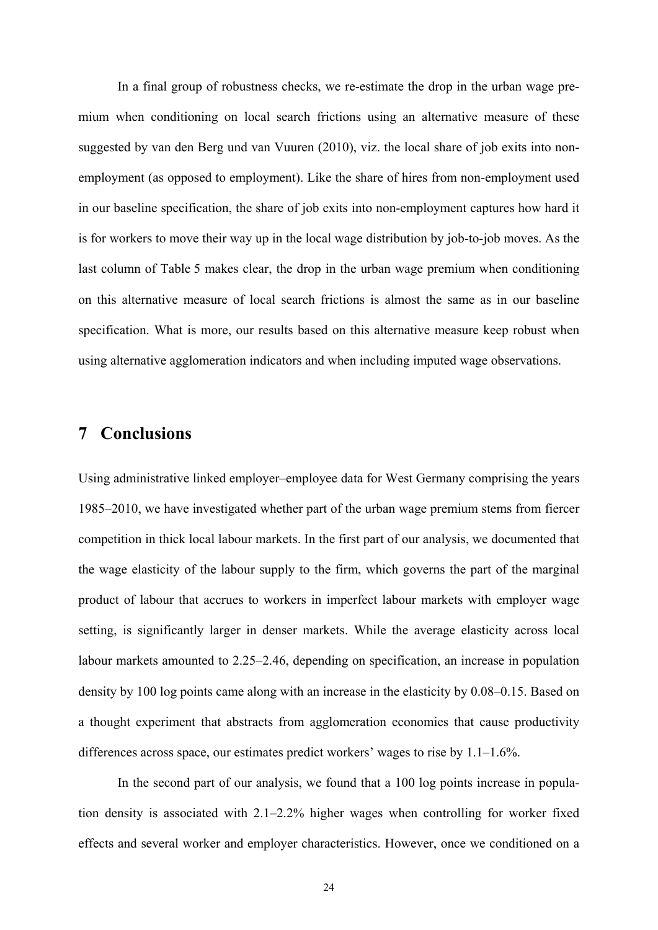In a final group of robustness checks, we re-estimate the drop in the urban wage premium when conditioning on local search frictions using an alternative measure of these suggested by van den Berg und van Vuuren (2010), viz. the local share of job exits into nonemployment (as opposed to employment). Like the share of hires from non-employment used in our baseline specification, the share of job exits into non-employment captures how hard it is for workers to move their way up in the local wage distribution by job-to-job moves. As the last column of Table 5 makes clear, the drop in the urban wage premium when conditioning on this alternative measure of local search frictions is almost the same as in our baseline specification. What is more, our results based on this alternative measure keep robust when using alternative agglomeration indicators and when including imputed wage observations.

### **7 Conclusions**

Using administrative linked employer–employee data for West Germany comprising the years 1985–2010, we have investigated whether part of the urban wage premium stems from fiercer competition in thick local labour markets. In the first part of our analysis, we documented that the wage elasticity of the labour supply to the firm, which governs the part of the marginal product of labour that accrues to workers in imperfect labour markets with employer wage setting, is significantly larger in denser markets. While the average elasticity across local labour markets amounted to 2.25–2.46, depending on specification, an increase in population density by 100 log points came along with an increase in the elasticity by 0.08–0.15. Based on a thought experiment that abstracts from agglomeration economies that cause productivity differences across space, our estimates predict workers' wages to rise by 1.1–1.6%.

In the second part of our analysis, we found that a 100 log points increase in population density is associated with 2.1–2.2% higher wages when controlling for worker fixed effects and several worker and employer characteristics. However, once we conditioned on a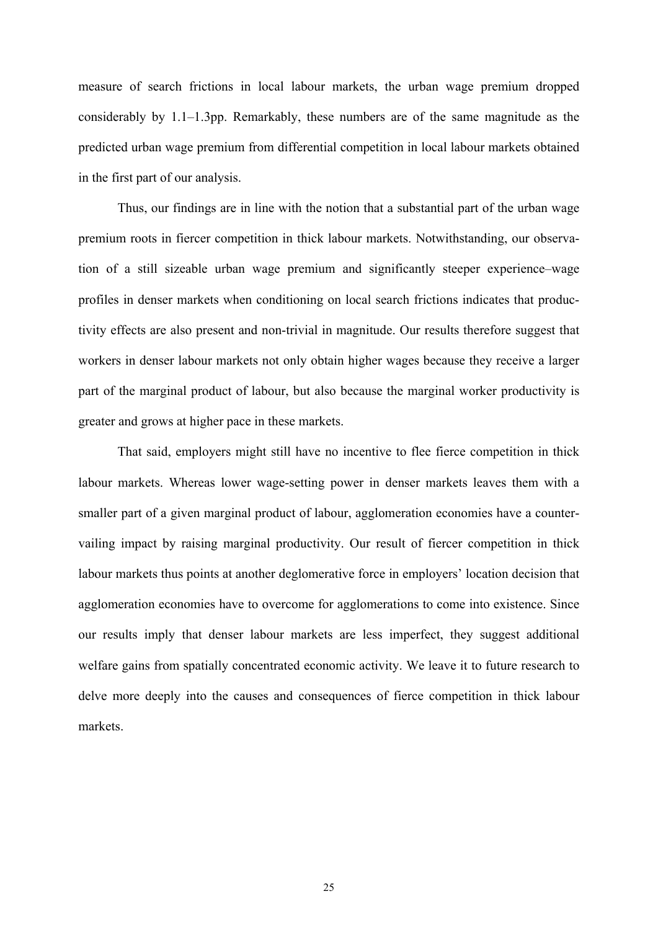measure of search frictions in local labour markets, the urban wage premium dropped considerably by 1.1–1.3pp. Remarkably, these numbers are of the same magnitude as the predicted urban wage premium from differential competition in local labour markets obtained in the first part of our analysis.

Thus, our findings are in line with the notion that a substantial part of the urban wage premium roots in fiercer competition in thick labour markets. Notwithstanding, our observation of a still sizeable urban wage premium and significantly steeper experience–wage profiles in denser markets when conditioning on local search frictions indicates that productivity effects are also present and non-trivial in magnitude. Our results therefore suggest that workers in denser labour markets not only obtain higher wages because they receive a larger part of the marginal product of labour, but also because the marginal worker productivity is greater and grows at higher pace in these markets.

That said, employers might still have no incentive to flee fierce competition in thick labour markets. Whereas lower wage-setting power in denser markets leaves them with a smaller part of a given marginal product of labour, agglomeration economies have a countervailing impact by raising marginal productivity. Our result of fiercer competition in thick labour markets thus points at another deglomerative force in employers' location decision that agglomeration economies have to overcome for agglomerations to come into existence. Since our results imply that denser labour markets are less imperfect, they suggest additional welfare gains from spatially concentrated economic activity. We leave it to future research to delve more deeply into the causes and consequences of fierce competition in thick labour markets.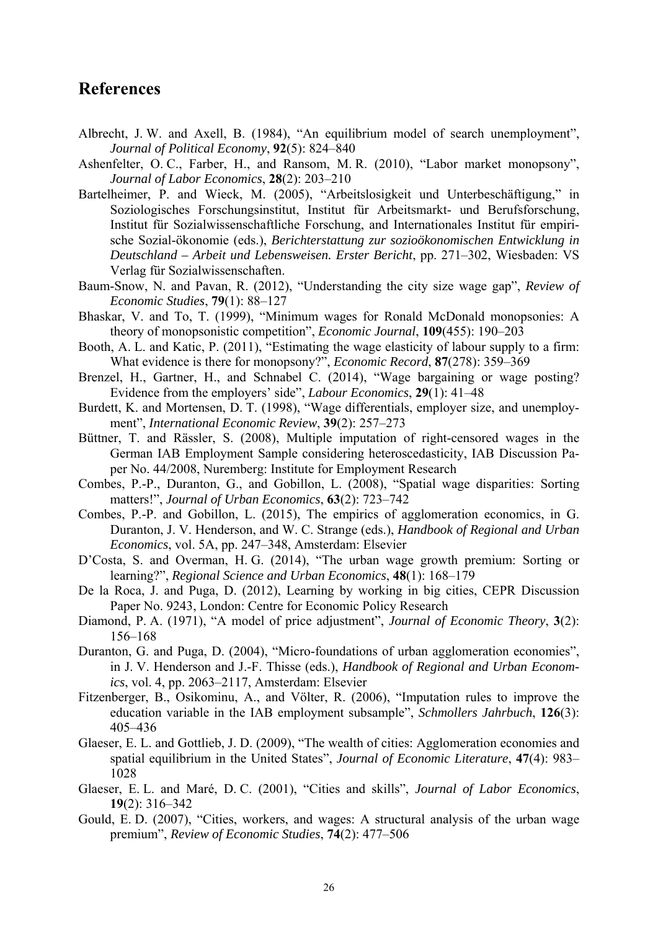### **References**

- Albrecht, J. W. and Axell, B. (1984), "An equilibrium model of search unemployment", *Journal of Political Economy*, **92**(5): 824–840
- Ashenfelter, O. C., Farber, H., and Ransom, M. R. (2010), "Labor market monopsony", *Journal of Labor Economics*, **28**(2): 203–210
- Bartelheimer, P. and Wieck, M. (2005), "Arbeitslosigkeit und Unterbeschäftigung," in Soziologisches Forschungsinstitut, Institut für Arbeitsmarkt- und Berufsforschung, Institut für Sozialwissenschaftliche Forschung, and Internationales Institut für empirische Sozial-ökonomie (eds.), *Berichterstattung zur sozioökonomischen Entwicklung in Deutschland – Arbeit und Lebensweisen. Erster Bericht*, pp. 271–302, Wiesbaden: VS Verlag für Sozialwissenschaften.
- Baum-Snow, N. and Pavan, R. (2012), "Understanding the city size wage gap", *Review of Economic Studies*, **79**(1): 88–127
- Bhaskar, V. and To, T. (1999), "Minimum wages for Ronald McDonald monopsonies: A theory of monopsonistic competition", *Economic Journal*, **109**(455): 190–203
- Booth, A. L. and Katic, P. (2011), "Estimating the wage elasticity of labour supply to a firm: What evidence is there for monopsony?", *Economic Record*, **87**(278): 359–369
- Brenzel, H., Gartner, H., and Schnabel C. (2014), "Wage bargaining or wage posting? Evidence from the employers' side", *Labour Economics*, **29**(1): 41–48
- Burdett, K. and Mortensen, D. T. (1998), "Wage differentials, employer size, and unemployment", *International Economic Review*, **39**(2): 257–273
- Büttner, T. and Rässler, S. (2008), Multiple imputation of right-censored wages in the German IAB Employment Sample considering heteroscedasticity, IAB Discussion Paper No. 44/2008, Nuremberg: Institute for Employment Research
- Combes, P.-P., Duranton, G., and Gobillon, L. (2008), "Spatial wage disparities: Sorting matters!", *Journal of Urban Economics*, **63**(2): 723–742
- Combes, P.-P. and Gobillon, L. (2015), The empirics of agglomeration economics, in G. Duranton, J. V. Henderson, and W. C. Strange (eds.), *Handbook of Regional and Urban Economics*, vol. 5A, pp. 247–348, Amsterdam: Elsevier
- D'Costa, S. and Overman, H. G. (2014), "The urban wage growth premium: Sorting or learning?", *Regional Science and Urban Economics*, **48**(1): 168–179
- De la Roca, J. and Puga, D. (2012), Learning by working in big cities, CEPR Discussion Paper No. 9243, London: Centre for Economic Policy Research
- Diamond, P. A. (1971), "A model of price adjustment", *Journal of Economic Theory*, **3**(2): 156–168
- Duranton, G. and Puga, D. (2004), "Micro-foundations of urban agglomeration economies", in J. V. Henderson and J.-F. Thisse (eds.), *Handbook of Regional and Urban Economics*, vol. 4, pp. 2063–2117, Amsterdam: Elsevier
- Fitzenberger, B., Osikominu, A., and Völter, R. (2006), "Imputation rules to improve the education variable in the IAB employment subsample", *Schmollers Jahrbuch*, **126**(3): 405–436
- Glaeser, E. L. and Gottlieb, J. D. (2009), "The wealth of cities: Agglomeration economies and spatial equilibrium in the United States", *Journal of Economic Literature*, **47**(4): 983– 1028
- Glaeser, E. L. and Maré, D. C. (2001), "Cities and skills", *Journal of Labor Economics*, **19**(2): 316–342
- Gould, E. D. (2007), "Cities, workers, and wages: A structural analysis of the urban wage premium", *Review of Economic Studies*, **74**(2): 477–506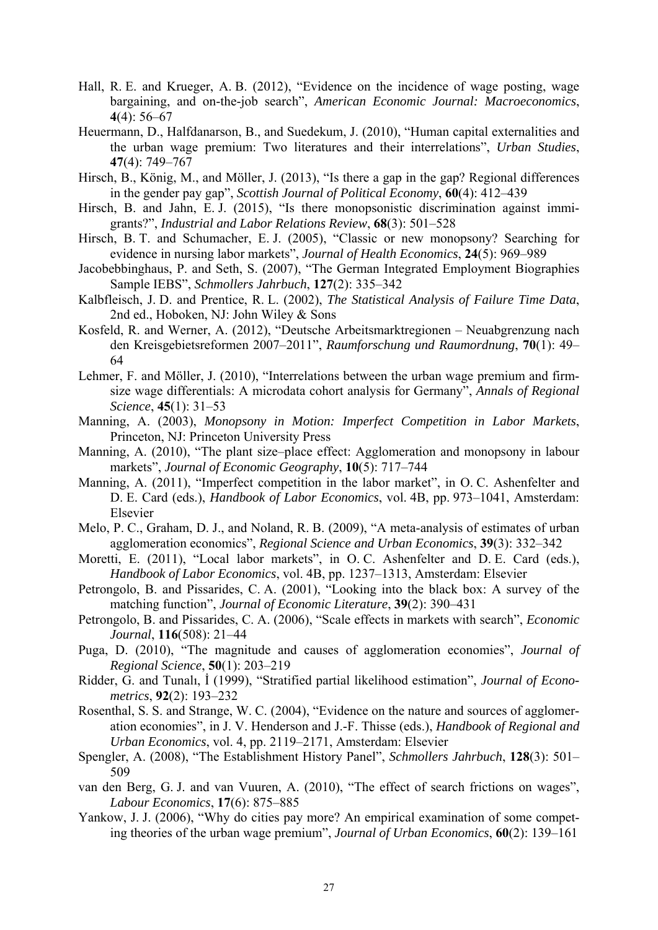- Hall, R. E. and Krueger, A. B. (2012), "Evidence on the incidence of wage posting, wage bargaining, and on-the-job search", *American Economic Journal: Macroeconomics*, **4**(4): 56–67
- Heuermann, D., Halfdanarson, B., and Suedekum, J. (2010), "Human capital externalities and the urban wage premium: Two literatures and their interrelations", *Urban Studies*, **47**(4): 749–767
- Hirsch, B., König, M., and Möller, J. (2013), "Is there a gap in the gap? Regional differences in the gender pay gap", *Scottish Journal of Political Economy*, **60**(4): 412–439
- Hirsch, B. and Jahn, E. J. (2015), "Is there monopsonistic discrimination against immigrants?", *Industrial and Labor Relations Review*, **68**(3): 501–528
- Hirsch, B. T. and Schumacher, E. J. (2005), "Classic or new monopsony? Searching for evidence in nursing labor markets", *Journal of Health Economics*, **24**(5): 969–989
- Jacobebbinghaus, P. and Seth, S. (2007), "The German Integrated Employment Biographies Sample IEBS", *Schmollers Jahrbuch*, **127**(2): 335–342
- Kalbfleisch, J. D. and Prentice, R. L. (2002), *The Statistical Analysis of Failure Time Data*, 2nd ed., Hoboken, NJ: John Wiley & Sons
- Kosfeld, R. and Werner, A. (2012), "Deutsche Arbeitsmarktregionen Neuabgrenzung nach den Kreisgebietsreformen 2007–2011", *Raumforschung und Raumordnung*, **70**(1): 49– 64
- Lehmer, F. and Möller, J. (2010), "Interrelations between the urban wage premium and firmsize wage differentials: A microdata cohort analysis for Germany", *Annals of Regional Science*, **45**(1): 31–53
- Manning, A. (2003), *Monopsony in Motion: Imperfect Competition in Labor Markets*, Princeton, NJ: Princeton University Press
- Manning, A. (2010), "The plant size–place effect: Agglomeration and monopsony in labour markets", *Journal of Economic Geography*, **10**(5): 717–744
- Manning, A. (2011), "Imperfect competition in the labor market", in O. C. Ashenfelter and D. E. Card (eds.), *Handbook of Labor Economics*, vol. 4B, pp. 973–1041, Amsterdam: Elsevier
- Melo, P. C., Graham, D. J., and Noland, R. B. (2009), "A meta-analysis of estimates of urban agglomeration economics", *Regional Science and Urban Economics*, **39**(3): 332–342
- Moretti, E. (2011), "Local labor markets", in O. C. Ashenfelter and D. E. Card (eds.), *Handbook of Labor Economics*, vol. 4B, pp. 1237–1313, Amsterdam: Elsevier
- Petrongolo, B. and Pissarides, C. A. (2001), "Looking into the black box: A survey of the matching function", *Journal of Economic Literature*, **39**(2): 390–431
- Petrongolo, B. and Pissarides, C. A. (2006), "Scale effects in markets with search", *Economic Journal*, **116**(508): 21–44
- Puga, D. (2010), "The magnitude and causes of agglomeration economies", *Journal of Regional Science*, **50**(1): 203–219
- Ridder, G. and Tunalı, İ (1999), "Stratified partial likelihood estimation", *Journal of Econometrics*, **92**(2): 193–232
- Rosenthal, S. S. and Strange, W. C. (2004), "Evidence on the nature and sources of agglomeration economies", in J. V. Henderson and J.-F. Thisse (eds.), *Handbook of Regional and Urban Economics*, vol. 4, pp. 2119–2171, Amsterdam: Elsevier
- Spengler, A. (2008), "The Establishment History Panel", *Schmollers Jahrbuch*, **128**(3): 501– 509
- van den Berg, G. J. and van Vuuren, A. (2010), "The effect of search frictions on wages", *Labour Economics*, **17**(6): 875–885
- Yankow, J. J. (2006), "Why do cities pay more? An empirical examination of some competing theories of the urban wage premium", *Journal of Urban Economics*, **60**(2): 139–161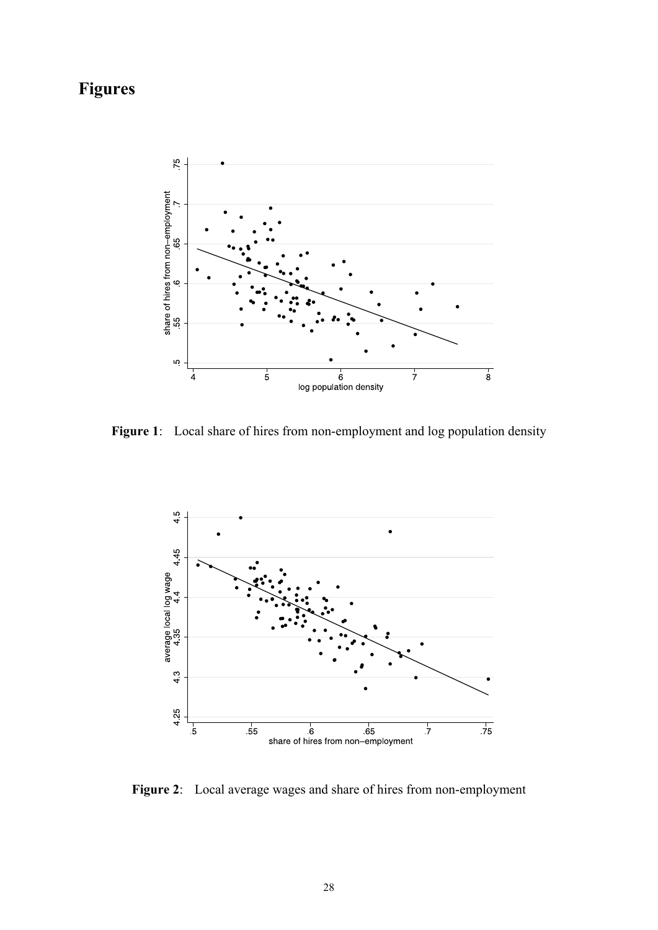## **Figures**



**Figure 1**: Local share of hires from non-employment and log population density



**Figure 2**: Local average wages and share of hires from non-employment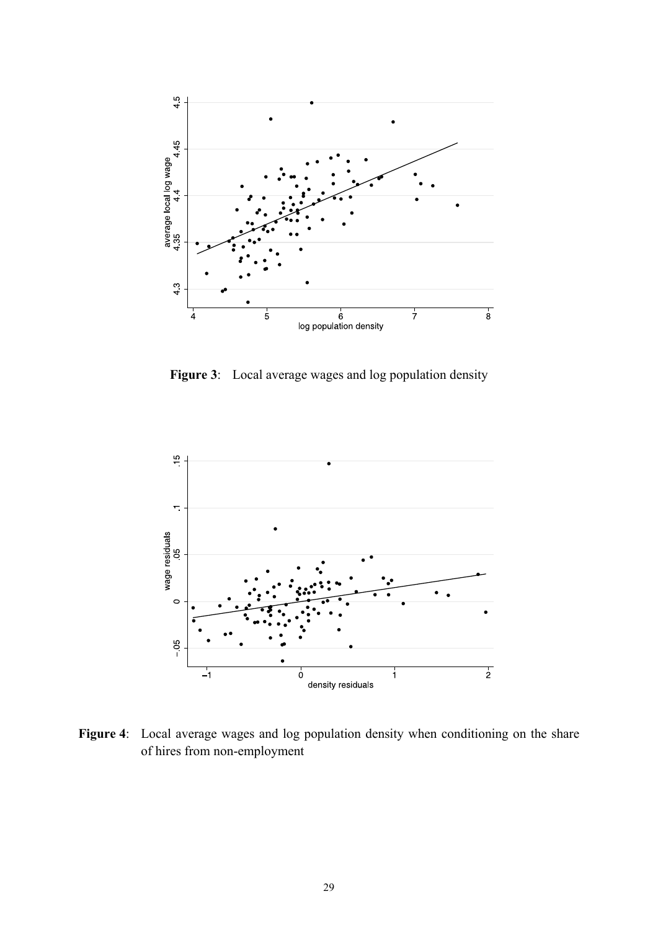

**Figure 3**: Local average wages and log population density



Figure 4: Local average wages and log population density when conditioning on the share of hires from non-employment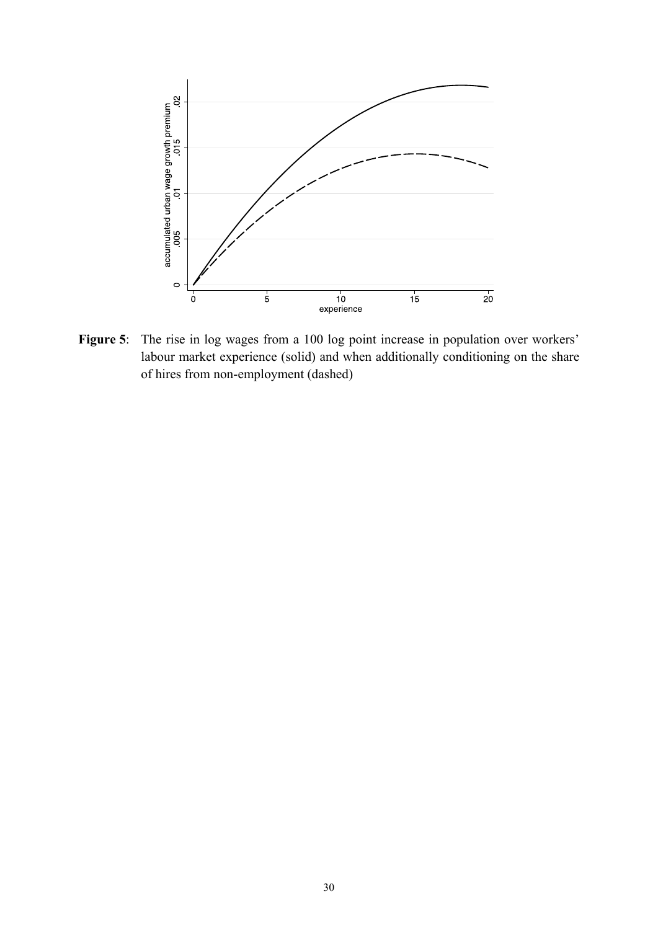

Figure 5: The rise in log wages from a 100 log point increase in population over workers' labour market experience (solid) and when additionally conditioning on the share of hires from non-employment (dashed)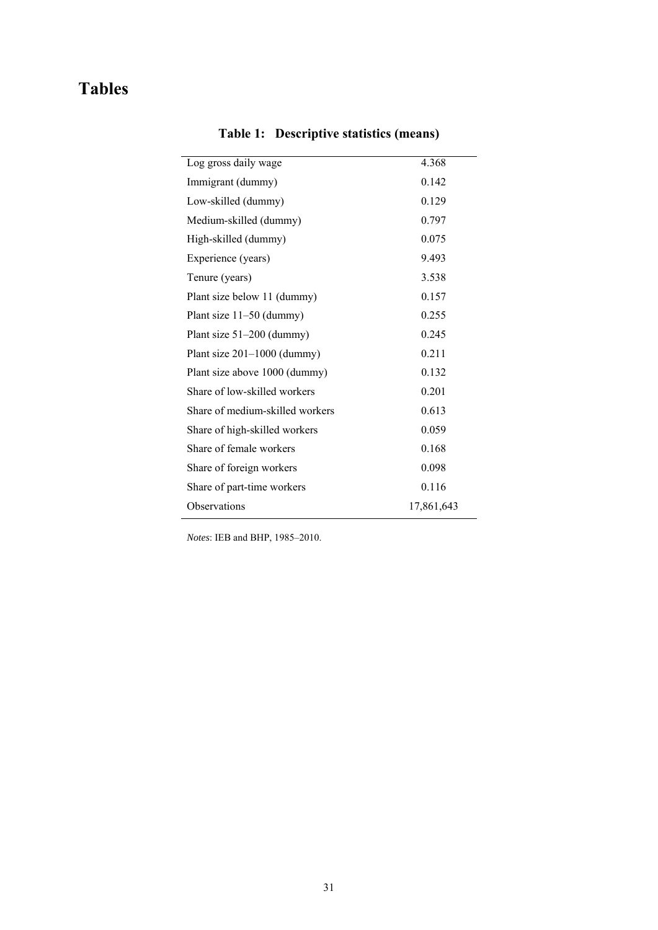## **Tables**

| Log gross daily wage            | 4.368      |
|---------------------------------|------------|
| Immigrant (dummy)               | 0.142      |
| Low-skilled (dummy)             | 0.129      |
| Medium-skilled (dummy)          | 0.797      |
| High-skilled (dummy)            | 0.075      |
| Experience (years)              | 9.493      |
| Tenure (years)                  | 3.538      |
| Plant size below 11 (dummy)     | 0.157      |
| Plant size $11-50$ (dummy)      | 0.255      |
| Plant size 51-200 (dummy)       | 0.245      |
| Plant size $201-1000$ (dummy)   | 0.211      |
| Plant size above 1000 (dummy)   | 0.132      |
| Share of low-skilled workers    | 0.201      |
| Share of medium-skilled workers | 0.613      |
| Share of high-skilled workers   | 0.059      |
| Share of female workers         | 0.168      |
| Share of foreign workers        | 0.098      |
| Share of part-time workers      | 0.116      |
| Observations                    | 17,861,643 |

## **Table 1: Descriptive statistics (means)**

*Notes*: IEB and BHP, 1985–2010.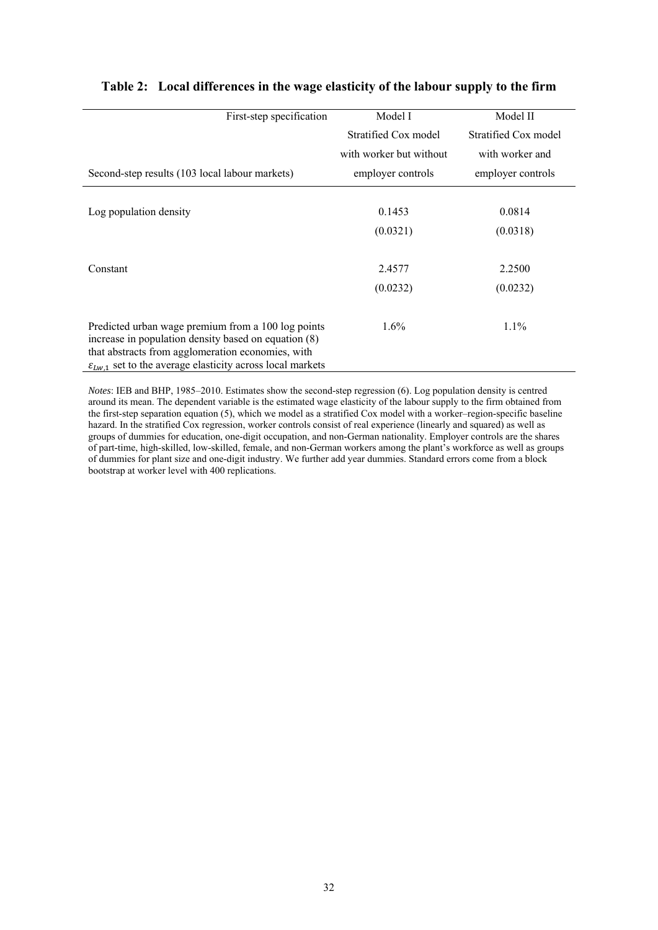| First-step specification                                                                                                                                                                                                                   | Model I                 | Model II             |
|--------------------------------------------------------------------------------------------------------------------------------------------------------------------------------------------------------------------------------------------|-------------------------|----------------------|
|                                                                                                                                                                                                                                            | Stratified Cox model    | Stratified Cox model |
|                                                                                                                                                                                                                                            | with worker but without | with worker and      |
| Second-step results (103 local labour markets)                                                                                                                                                                                             | employer controls       | employer controls    |
|                                                                                                                                                                                                                                            |                         |                      |
| Log population density                                                                                                                                                                                                                     | 0.1453                  | 0.0814               |
|                                                                                                                                                                                                                                            | (0.0321)                | (0.0318)             |
| Constant                                                                                                                                                                                                                                   | 2.4577                  | 2.2500               |
|                                                                                                                                                                                                                                            | (0.0232)                | (0.0232)             |
|                                                                                                                                                                                                                                            |                         |                      |
| Predicted urban wage premium from a 100 log points<br>increase in population density based on equation (8)<br>that abstracts from agglomeration economies, with<br>$\varepsilon_{Lw,1}$ set to the average elasticity across local markets | $1.6\%$                 | $1.1\%$              |

#### **Table 2: Local differences in the wage elasticity of the labour supply to the firm**

*Notes*: IEB and BHP, 1985–2010. Estimates show the second-step regression (6). Log population density is centred around its mean. The dependent variable is the estimated wage elasticity of the labour supply to the firm obtained from the first-step separation equation (5), which we model as a stratified Cox model with a worker–region-specific baseline hazard. In the stratified Cox regression, worker controls consist of real experience (linearly and squared) as well as groups of dummies for education, one-digit occupation, and non-German nationality. Employer controls are the shares of part-time, high-skilled, low-skilled, female, and non-German workers among the plant's workforce as well as groups of dummies for plant size and one-digit industry. We further add year dummies. Standard errors come from a block bootstrap at worker level with 400 replications.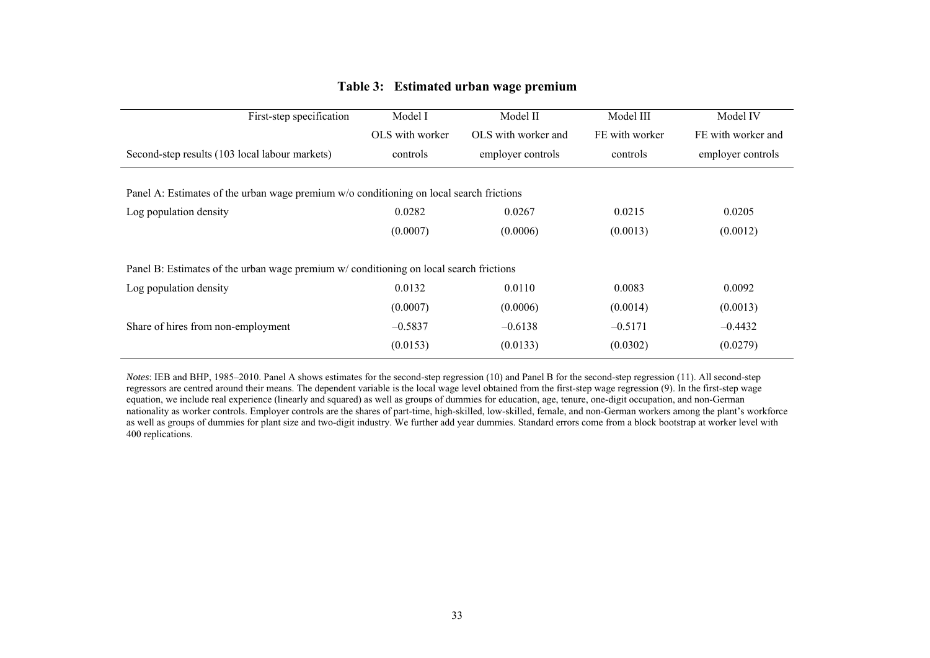#### **Table 3: Estimated urban wage premium**

| First-step specification                                                                | Model I         | Model II            | Model III      | Model IV           |  |  |
|-----------------------------------------------------------------------------------------|-----------------|---------------------|----------------|--------------------|--|--|
|                                                                                         | OLS with worker | OLS with worker and | FE with worker | FE with worker and |  |  |
| Second-step results (103 local labour markets)                                          | controls        | employer controls   | controls       | employer controls  |  |  |
|                                                                                         |                 |                     |                |                    |  |  |
| Panel A: Estimates of the urban wage premium w/o conditioning on local search frictions |                 |                     |                |                    |  |  |
| Log population density                                                                  | 0.0282          | 0.0267              | 0.0215         | 0.0205             |  |  |
|                                                                                         | (0.0007)        | (0.0006)            | (0.0013)       | (0.0012)           |  |  |
| Panel B: Estimates of the urban wage premium w/ conditioning on local search frictions  |                 |                     |                |                    |  |  |
| Log population density                                                                  | 0.0132          | 0.0110              | 0.0083         | 0.0092             |  |  |
|                                                                                         | (0.0007)        | (0.0006)            | (0.0014)       | (0.0013)           |  |  |
| Share of hires from non-employment                                                      | $-0.5837$       | $-0.6138$           | $-0.5171$      | $-0.4432$          |  |  |
|                                                                                         | (0.0153)        | (0.0133)            | (0.0302)       | (0.0279)           |  |  |

*Notes*: IEB and BHP, 1985–2010. Panel A shows estimates for the second-step regression (10) and Panel B for the second-step regression (11). All second-step regressors are centred around their means. The dependent variable is the local wage level obtained from the first-step wage regression (9). In the first-step wage equation, we include real experience (linearly and squared) as well as groups of dummies for education, age, tenure, one-digit occupation, and non-German nationality as worker controls. Employer controls are the shares of part-time, high-skilled, low-skilled, female, and non-German workers among the plant's workforce as well as groups of dummies for plant size and two-digit industry. We further add year dummies. Standard errors come from a block bootstrap at worker level with 400 replications.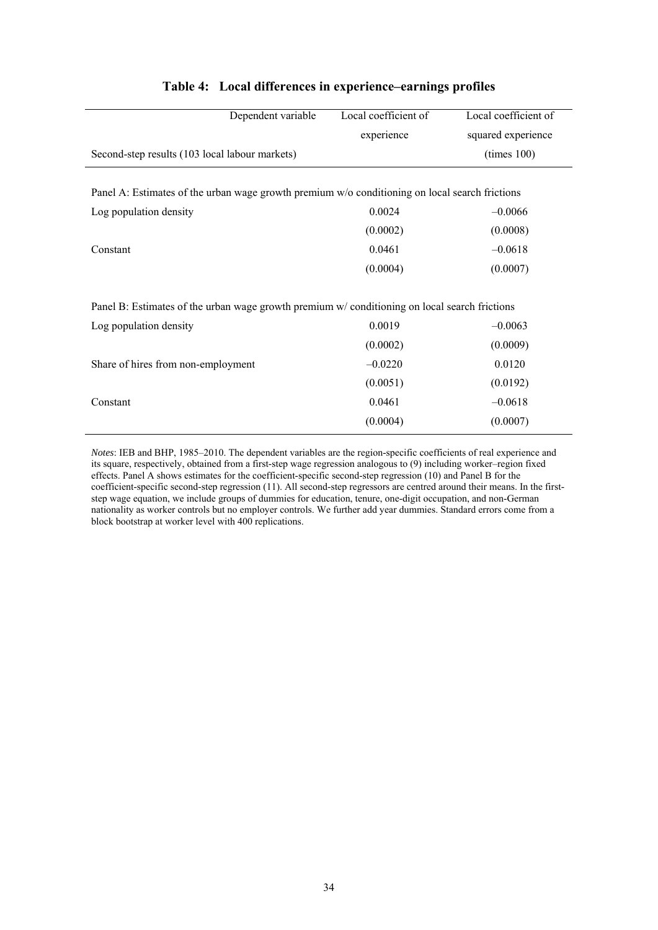| Dependent variable                                                                             | Local coefficient of | Local coefficient of  |  |  |
|------------------------------------------------------------------------------------------------|----------------------|-----------------------|--|--|
|                                                                                                | experience           | squared experience    |  |  |
| Second-step results (103 local labour markets)                                                 |                      | $(\text{times } 100)$ |  |  |
|                                                                                                |                      |                       |  |  |
| Panel A: Estimates of the urban wage growth premium w/o conditioning on local search frictions |                      |                       |  |  |
| Log population density                                                                         | 0.0024               | $-0.0066$             |  |  |
|                                                                                                | (0.0002)             | (0.0008)              |  |  |
| Constant                                                                                       | 0.0461               | $-0.0618$             |  |  |
|                                                                                                | (0.0004)             | (0.0007)              |  |  |
| Panel B: Estimates of the urban wage growth premium w/ conditioning on local search frictions  |                      |                       |  |  |
| Log population density                                                                         | 0.0019               | $-0.0063$             |  |  |
|                                                                                                | (0.0002)             | (0.0009)              |  |  |
| Share of hires from non-employment                                                             | $-0.0220$            | 0.0120                |  |  |
|                                                                                                | (0.0051)             | (0.0192)              |  |  |
| Constant                                                                                       | 0.0461               | $-0.0618$             |  |  |
|                                                                                                | (0.0004)             | (0.0007)              |  |  |
|                                                                                                |                      |                       |  |  |

#### **Table 4: Local differences in experience–earnings profiles**

*Notes*: IEB and BHP, 1985–2010. The dependent variables are the region-specific coefficients of real experience and its square, respectively, obtained from a first-step wage regression analogous to (9) including worker–region fixed effects. Panel A shows estimates for the coefficient-specific second-step regression (10) and Panel B for the coefficient-specific second-step regression (11). All second-step regressors are centred around their means. In the firststep wage equation, we include groups of dummies for education, tenure, one-digit occupation, and non-German nationality as worker controls but no employer controls. We further add year dummies. Standard errors come from a block bootstrap at worker level with 400 replications.